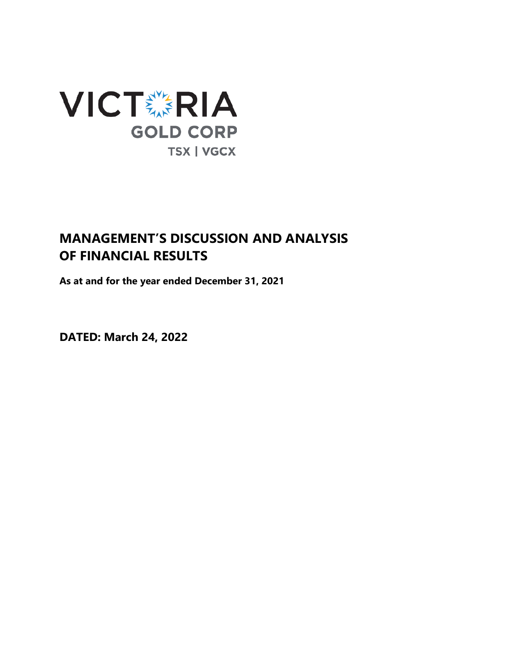

# **MANAGEMENT'S DISCUSSION AND ANALYSIS OF FINANCIAL RESULTS**

**As at and for the year ended December 31, 2021**

**DATED: March 24, 2022**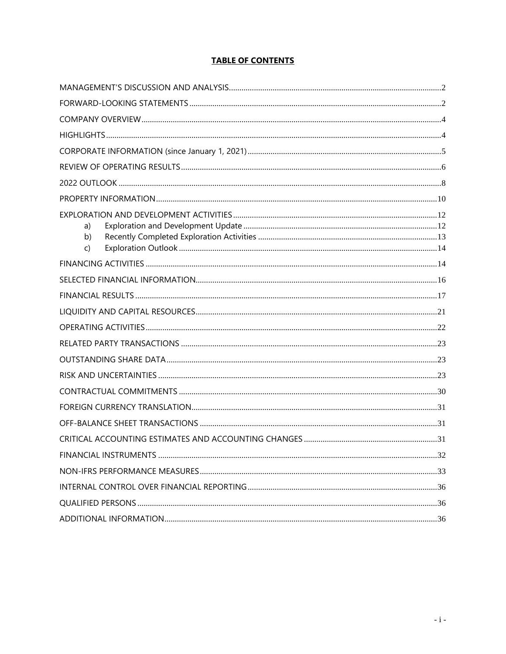# **TABLE OF CONTENTS**

| a)<br>b)<br>C) |  |
|----------------|--|
|                |  |
|                |  |
|                |  |
|                |  |
|                |  |
|                |  |
|                |  |
|                |  |
|                |  |
|                |  |
|                |  |
|                |  |
|                |  |
|                |  |
|                |  |
|                |  |
|                |  |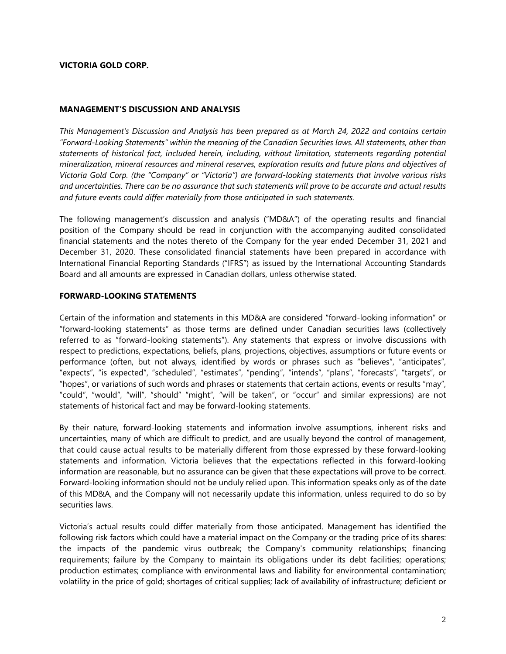# **VICTORIA GOLD CORP.**

#### <span id="page-2-0"></span>**MANAGEMENT'S DISCUSSION AND ANALYSIS**

*This Management's Discussion and Analysis has been prepared as at March 24, 2022 and contains certain "Forward-Looking Statements" within the meaning of the Canadian Securities laws. All statements, other than statements of historical fact, included herein, including, without limitation, statements regarding potential mineralization, mineral resources and mineral reserves, exploration results and future plans and objectives of Victoria Gold Corp. (the "Company" or "Victoria") are forward-looking statements that involve various risks and uncertainties. There can be no assurance that such statements will prove to be accurate and actual results and future events could differ materially from those anticipated in such statements.*

The following management's discussion and analysis ("MD&A") of the operating results and financial position of the Company should be read in conjunction with the accompanying audited consolidated financial statements and the notes thereto of the Company for the year ended December 31, 2021 and December 31, 2020. These consolidated financial statements have been prepared in accordance with International Financial Reporting Standards ("IFRS") as issued by the International Accounting Standards Board and all amounts are expressed in Canadian dollars, unless otherwise stated.

#### <span id="page-2-1"></span>**FORWARD-LOOKING STATEMENTS**

Certain of the information and statements in this MD&A are considered "forward-looking information" or "forward-looking statements" as those terms are defined under Canadian securities laws (collectively referred to as "forward-looking statements"). Any statements that express or involve discussions with respect to predictions, expectations, beliefs, plans, projections, objectives, assumptions or future events or performance (often, but not always, identified by words or phrases such as "believes", "anticipates", "expects", "is expected", "scheduled", "estimates", "pending", "intends", "plans", "forecasts", "targets", or "hopes", or variations of such words and phrases or statements that certain actions, events or results "may", "could", "would", "will", "should" "might", "will be taken", or "occur" and similar expressions) are not statements of historical fact and may be forward-looking statements.

By their nature, forward-looking statements and information involve assumptions, inherent risks and uncertainties, many of which are difficult to predict, and are usually beyond the control of management, that could cause actual results to be materially different from those expressed by these forward-looking statements and information. Victoria believes that the expectations reflected in this forward-looking information are reasonable, but no assurance can be given that these expectations will prove to be correct. Forward-looking information should not be unduly relied upon. This information speaks only as of the date of this MD&A, and the Company will not necessarily update this information, unless required to do so by securities laws.

Victoria's actual results could differ materially from those anticipated. Management has identified the following risk factors which could have a material impact on the Company or the trading price of its shares: the impacts of the pandemic virus outbreak; the Company's community relationships; financing requirements; failure by the Company to maintain its obligations under its debt facilities; operations; production estimates; compliance with environmental laws and liability for environmental contamination; volatility in the price of gold; shortages of critical supplies; lack of availability of infrastructure; deficient or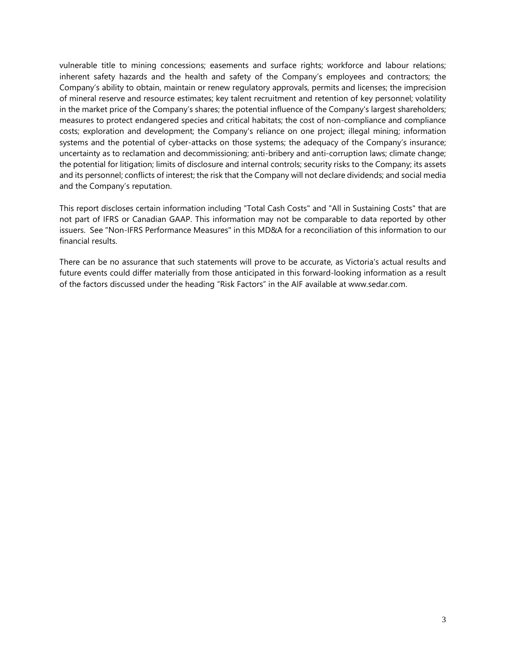vulnerable title to mining concessions; easements and surface rights; workforce and labour relations; inherent safety hazards and the health and safety of the Company's employees and contractors; the Company's ability to obtain, maintain or renew regulatory approvals, permits and licenses; the imprecision of mineral reserve and resource estimates; key talent recruitment and retention of key personnel; volatility in the market price of the Company's shares; the potential influence of the Company's largest shareholders; measures to protect endangered species and critical habitats; the cost of non-compliance and compliance costs; exploration and development; the Company's reliance on one project; illegal mining; information systems and the potential of cyber-attacks on those systems; the adequacy of the Company's insurance; uncertainty as to reclamation and decommissioning; anti-bribery and anti-corruption laws; climate change; the potential for litigation; limits of disclosure and internal controls; security risks to the Company; its assets and its personnel; conflicts of interest; the risk that the Company will not declare dividends; and social media and the Company's reputation.

This report discloses certain information including "Total Cash Costs" and "All in Sustaining Costs" that are not part of IFRS or Canadian GAAP. This information may not be comparable to data reported by other issuers. See "Non-IFRS Performance Measures" in this MD&A for a reconciliation of this information to our financial results.

There can be no assurance that such statements will prove to be accurate, as Victoria's actual results and future events could differ materially from those anticipated in this forward-looking information as a result of the factors discussed under the heading "Risk Factors" in the AIF available at www.sedar.com.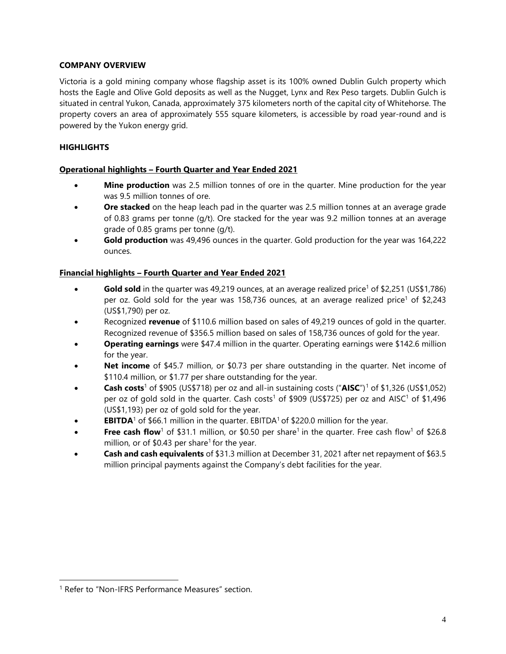# <span id="page-4-0"></span>**COMPANY OVERVIEW**

Victoria is a gold mining company whose flagship asset is its 100% owned Dublin Gulch property which hosts the Eagle and Olive Gold deposits as well as the Nugget, Lynx and Rex Peso targets. Dublin Gulch is situated in central Yukon, Canada, approximately 375 kilometers north of the capital city of Whitehorse. The property covers an area of approximately 555 square kilometers, is accessible by road year-round and is powered by the Yukon energy grid.

# <span id="page-4-1"></span>**HIGHLIGHTS**

# **Operational highlights – Fourth Quarter and Year Ended 2021**

- **Mine production** was 2.5 million tonnes of ore in the quarter. Mine production for the year was 9.5 million tonnes of ore.
- **Ore stacked** on the heap leach pad in the quarter was 2.5 million tonnes at an average grade of 0.83 grams per tonne (g/t). Ore stacked for the year was 9.2 million tonnes at an average grade of 0.85 grams per tonne (g/t).
- **Gold production** was 49,496 ounces in the quarter. Gold production for the year was 164,222 ounces.

# **Financial highlights – Fourth Quarter and Year Ended 2021**

- **Gold sold** in the quarter was 49,219 ounces, at an average realized price<sup>1</sup> of \$2,251 (US\$1,786) per oz. Gold sold for the year was 158,736 ounces, at an average realized price<sup>1</sup> of \$2,243 (US\$1,790) per oz.
- Recognized **revenue** of \$110.6 million based on sales of 49,219 ounces of gold in the quarter. Recognized revenue of \$356.5 million based on sales of 158,736 ounces of gold for the year.
- **Operating earnings** were \$47.4 million in the quarter. Operating earnings were \$142.6 million for the year.
- **Net income** of \$45.7 million, or \$0.73 per share outstanding in the quarter. Net income of \$110.4 million, or \$1.77 per share outstanding for the year.
- **Cash costs**<sup>1</sup> of \$905 (US\$718) per oz and all-in sustaining costs ("**AISC**")[1](#page-4-2) of \$1,326 (US\$1,052) per oz of gold sold in the quarter. Cash costs<sup>1</sup> of \$909 (US\$725) per oz and AISC<sup>1</sup> of \$1,496 (US\$1,193) per oz of gold sold for the year.
- **EBITDA**<sup>1</sup> of \$66.1 million in the quarter. EBITDA<sup>1</sup> of \$220.0 million for the year.
- **Free cash flow**<sup>1</sup> of \$31.1 million, or \$0.50 per share<sup>1</sup> in the quarter. Free cash flow<sup>1</sup> of \$26.8 million, or of  $$0.43$  per share<sup>1</sup> for the year.
- **Cash and cash equivalents** of \$31.3 million at December 31, 2021 after net repayment of \$63.5 million principal payments against the Company's debt facilities for the year.

<span id="page-4-2"></span><sup>&</sup>lt;sup>1</sup> Refer to "Non-IFRS Performance Measures" section.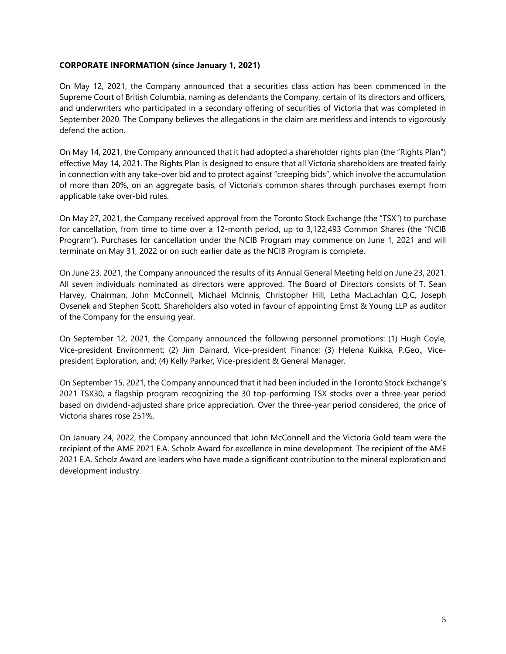# <span id="page-5-0"></span>**CORPORATE INFORMATION (since January 1, 2021)**

On May 12, 2021, the Company announced that a securities class action has been commenced in the Supreme Court of British Columbia, naming as defendants the Company, certain of its directors and officers, and underwriters who participated in a secondary offering of securities of Victoria that was completed in September 2020. The Company believes the allegations in the claim are meritless and intends to vigorously defend the action.

On May 14, 2021, the Company announced that it had adopted a shareholder rights plan (the "Rights Plan") effective May 14, 2021. The Rights Plan is designed to ensure that all Victoria shareholders are treated fairly in connection with any take-over bid and to protect against "creeping bids", which involve the accumulation of more than 20%, on an aggregate basis, of Victoria's common shares through purchases exempt from applicable take over-bid rules.

On May 27, 2021, the Company received approval from the Toronto Stock Exchange (the "TSX") to purchase for cancellation, from time to time over a 12-month period, up to 3,122,493 Common Shares (the "NCIB Program"). Purchases for cancellation under the NCIB Program may commence on June 1, 2021 and will terminate on May 31, 2022 or on such earlier date as the NCIB Program is complete.

On June 23, 2021, the Company announced the results of its Annual General Meeting held on June 23, 2021. All seven individuals nominated as directors were approved. The Board of Directors consists of T. Sean Harvey, Chairman, John McConnell, Michael McInnis, Christopher Hill, Letha MacLachlan Q.C, Joseph Ovsenek and Stephen Scott. Shareholders also voted in favour of appointing Ernst & Young LLP as auditor of the Company for the ensuing year.

On September 12, 2021, the Company announced the following personnel promotions: (1) Hugh Coyle, Vice-president Environment; (2) Jim Dainard, Vice-president Finance; (3) Helena Kuikka, P.Geo., Vicepresident Exploration, and; (4) Kelly Parker, Vice-president & General Manager.

On September 15, 2021, the Company announced that it had been included in the Toronto Stock Exchange's 2021 TSX30, a flagship program recognizing the 30 top-performing TSX stocks over a three-year period based on dividend-adjusted share price appreciation. Over the three-year period considered, the price of Victoria shares rose 251%.

On January 24, 2022, the Company announced that John McConnell and the Victoria Gold team were the recipient of the AME 2021 E.A. Scholz Award for excellence in mine development. The recipient of the AME 2021 E.A. Scholz Award are leaders who have made a significant contribution to the mineral exploration and development industry.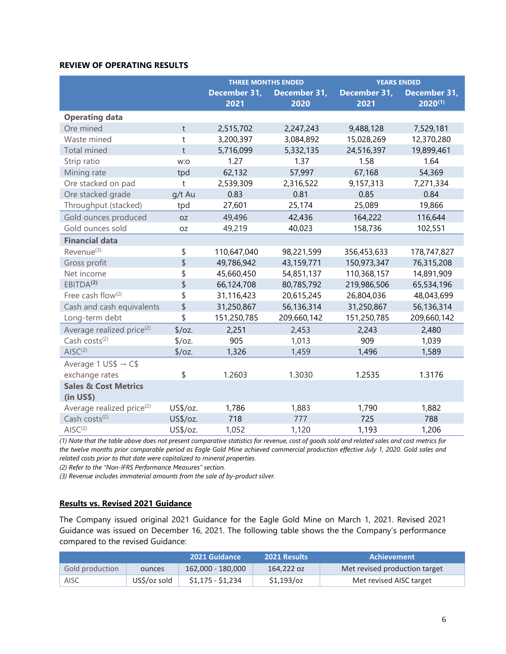# <span id="page-6-0"></span>**REVIEW OF OPERATING RESULTS**

|                                       |                | <b>THREE MONTHS ENDED</b> |                      | <b>YEARS ENDED</b>   |                              |
|---------------------------------------|----------------|---------------------------|----------------------|----------------------|------------------------------|
|                                       |                | December 31,<br>2021      | December 31,<br>2020 | December 31,<br>2021 | December 31,<br>$2020^{(1)}$ |
| <b>Operating data</b>                 |                |                           |                      |                      |                              |
| Ore mined                             | t              | 2,515,702                 | 2,247,243            | 9,488,128            | 7,529,181                    |
| Waste mined                           | $^\mathrm{t}$  | 3,200,397                 | 3,084,892            | 15,028,269           | 12,370,280                   |
| <b>Total mined</b>                    | $\mathsf{t}$   | 5,716,099                 | 5,332,135            | 24,516,397           | 19,899,461                   |
| Strip ratio                           | w:o            | 1.27                      | 1.37                 | 1.58                 | 1.64                         |
| Mining rate                           | tpd            | 62,132                    | 57,997               | 67,168               | 54,369                       |
| Ore stacked on pad                    | $\mathfrak{t}$ | 2,539,309                 | 2,316,522            | 9,157,313            | 7,271,334                    |
| Ore stacked grade                     | g/t Au         | 0.83                      | 0.81                 | 0.85                 | 0.84                         |
| Throughput (stacked)                  | tpd            | 27,601                    | 25,174               | 25,089               | 19,866                       |
| Gold ounces produced                  | <b>OZ</b>      | 49,496                    | 42,436               | 164,222              | 116,644                      |
| Gold ounces sold                      | <b>OZ</b>      | 49,219                    | 40,023               | 158,736              | 102,551                      |
| <b>Financial data</b>                 |                |                           |                      |                      |                              |
| Revenue <sup>(3)</sup>                | \$             | 110,647,040               | 98,221,599           | 356,453,633          | 178,747,827                  |
| Gross profit                          | \$             | 49,786,942                | 43,159,771           | 150,973,347          | 76,315,208                   |
| Net income                            | \$             | 45,660,450                | 54,851,137           | 110,368,157          | 14,891,909                   |
| EBITDA <sup>(2)</sup>                 | \$             | 66,124,708                | 80,785,792           | 219,986,506          | 65,534,196                   |
| Free cash flow(2)                     | \$             | 31,116,423                | 20,615,245           | 26,804,036           | 48,043,699                   |
| Cash and cash equivalents             | \$             | 31,250,867                | 56,136,314           | 31,250,867           | 56,136,314                   |
| Long-term debt                        | \$             | 151,250,785               | 209,660,142          | 151,250,785          | 209,660,142                  |
| Average realized price <sup>(2)</sup> | $\sqrt{6}$     | 2,251                     | 2,453                | 2,243                | 2,480                        |
| Cash costs $(2)$                      | $\sqrt{oz}$ .  | 905                       | 1,013                | 909                  | 1,039                        |
| $AISC^{(2)}$                          | $\sqrt{6}$     | 1,326                     | 1,459                | 1,496                | 1,589                        |
| Average 1 US\$ $\rightarrow$ C\$      |                |                           |                      |                      |                              |
| exchange rates                        | \$             | 1.2603                    | 1.3030               | 1.2535               | 1.3176                       |
| <b>Sales &amp; Cost Metrics</b>       |                |                           |                      |                      |                              |
| $(in US\)$                            |                |                           |                      |                      |                              |
| Average realized price <sup>(2)</sup> | US\$/oz.       | 1,786                     | 1,883                | 1,790                | 1,882                        |
| Cash costs <sup>(2)</sup>             | US\$/oz.       | 718                       | 777                  | 725                  | 788                          |
| $AISC^{(2)}$                          | US\$/oz.       | 1,052                     | 1,120                | 1,193                | 1,206                        |

*(1) Note that the table above does not present comparative statistics for revenue, cost of goods sold and related sales and cost metrics for the twelve months prior comparable period as Eagle Gold Mine achieved commercial production effective July 1, 2020. Gold sales and related costs prior to that date were capitalized to mineral properties.*

*(2) Refer to the "Non-IFRS Performance Measures" section.*

*(3) Revenue includes immaterial amounts from the sale of by-product silver.*

# **Results vs. Revised 2021 Guidance**

The Company issued original 2021 Guidance for the Eagle Gold Mine on March 1, 2021. Revised 2021 Guidance was issued on December 16, 2021. The following table shows the the Company's performance compared to the revised Guidance:

|                 |              | 2021 Guidance     | <b>2021 Results</b> | <b>Achievement</b>            |
|-----------------|--------------|-------------------|---------------------|-------------------------------|
| Gold production | ounces       | 162,000 - 180,000 | 164.222 oz          | Met revised production target |
| <b>AISC</b>     | US\$/oz sold | \$1,175 - \$1,234 | $$1,193$ /0z        | Met revised AISC target       |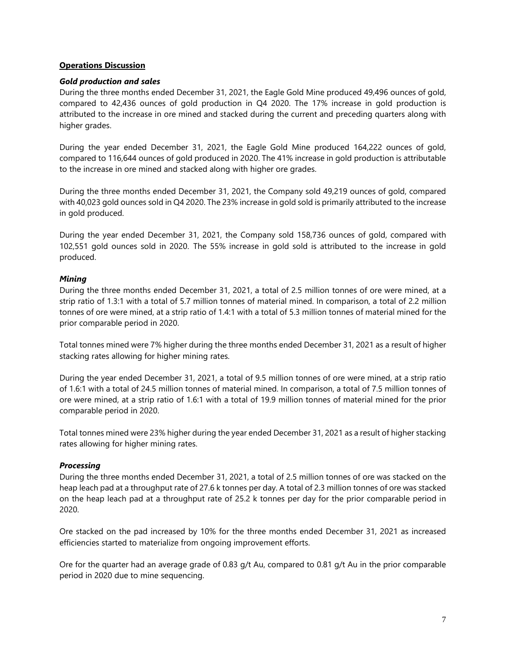#### **Operations Discussion**

#### *Gold production and sales*

During the three months ended December 31, 2021, the Eagle Gold Mine produced 49,496 ounces of gold, compared to 42,436 ounces of gold production in Q4 2020. The 17% increase in gold production is attributed to the increase in ore mined and stacked during the current and preceding quarters along with higher grades.

During the year ended December 31, 2021, the Eagle Gold Mine produced 164,222 ounces of gold, compared to 116,644 ounces of gold produced in 2020. The 41% increase in gold production is attributable to the increase in ore mined and stacked along with higher ore grades.

During the three months ended December 31, 2021, the Company sold 49,219 ounces of gold, compared with 40,023 gold ounces sold in Q4 2020. The 23% increase in gold sold is primarily attributed to the increase in gold produced.

During the year ended December 31, 2021, the Company sold 158,736 ounces of gold, compared with 102,551 gold ounces sold in 2020. The 55% increase in gold sold is attributed to the increase in gold produced.

# *Mining*

During the three months ended December 31, 2021, a total of 2.5 million tonnes of ore were mined, at a strip ratio of 1.3:1 with a total of 5.7 million tonnes of material mined. In comparison, a total of 2.2 million tonnes of ore were mined, at a strip ratio of 1.4:1 with a total of 5.3 million tonnes of material mined for the prior comparable period in 2020.

Total tonnes mined were 7% higher during the three months ended December 31, 2021 as a result of higher stacking rates allowing for higher mining rates.

During the year ended December 31, 2021, a total of 9.5 million tonnes of ore were mined, at a strip ratio of 1.6:1 with a total of 24.5 million tonnes of material mined. In comparison, a total of 7.5 million tonnes of ore were mined, at a strip ratio of 1.6:1 with a total of 19.9 million tonnes of material mined for the prior comparable period in 2020.

Total tonnes mined were 23% higher during the year ended December 31, 2021 as a result of higher stacking rates allowing for higher mining rates.

#### *Processing*

During the three months ended December 31, 2021, a total of 2.5 million tonnes of ore was stacked on the heap leach pad at a throughput rate of 27.6 k tonnes per day. A total of 2.3 million tonnes of ore was stacked on the heap leach pad at a throughput rate of 25.2 k tonnes per day for the prior comparable period in 2020.

Ore stacked on the pad increased by 10% for the three months ended December 31, 2021 as increased efficiencies started to materialize from ongoing improvement efforts.

Ore for the quarter had an average grade of 0.83 g/t Au, compared to 0.81 g/t Au in the prior comparable period in 2020 due to mine sequencing.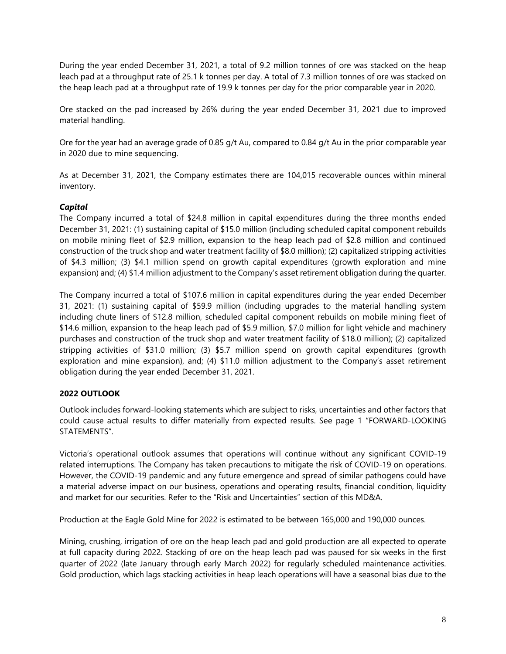During the year ended December 31, 2021, a total of 9.2 million tonnes of ore was stacked on the heap leach pad at a throughput rate of 25.1 k tonnes per day. A total of 7.3 million tonnes of ore was stacked on the heap leach pad at a throughput rate of 19.9 k tonnes per day for the prior comparable year in 2020.

Ore stacked on the pad increased by 26% during the year ended December 31, 2021 due to improved material handling.

Ore for the year had an average grade of 0.85 g/t Au, compared to 0.84 g/t Au in the prior comparable year in 2020 due to mine sequencing.

As at December 31, 2021, the Company estimates there are 104,015 recoverable ounces within mineral inventory.

# *Capital*

The Company incurred a total of \$24.8 million in capital expenditures during the three months ended December 31, 2021: (1) sustaining capital of \$15.0 million (including scheduled capital component rebuilds on mobile mining fleet of \$2.9 million, expansion to the heap leach pad of \$2.8 million and continued construction of the truck shop and water treatment facility of \$8.0 million); (2) capitalized stripping activities of \$4.3 million; (3) \$4.1 million spend on growth capital expenditures (growth exploration and mine expansion) and; (4) \$1.4 million adjustment to the Company's asset retirement obligation during the quarter.

The Company incurred a total of \$107.6 million in capital expenditures during the year ended December 31, 2021: (1) sustaining capital of \$59.9 million (including upgrades to the material handling system including chute liners of \$12.8 million, scheduled capital component rebuilds on mobile mining fleet of \$14.6 million, expansion to the heap leach pad of \$5.9 million, \$7.0 million for light vehicle and machinery purchases and construction of the truck shop and water treatment facility of \$18.0 million); (2) capitalized stripping activities of \$31.0 million; (3) \$5.7 million spend on growth capital expenditures (growth exploration and mine expansion), and; (4) \$11.0 million adjustment to the Company's asset retirement obligation during the year ended December 31, 2021.

# <span id="page-8-0"></span>**2022 OUTLOOK**

Outlook includes forward-looking statements which are subject to risks, uncertainties and other factors that could cause actual results to differ materially from expected results. See page 1 "FORWARD-LOOKING STATEMENTS".

Victoria's operational outlook assumes that operations will continue without any significant COVID-19 related interruptions. The Company has taken precautions to mitigate the risk of COVID-19 on operations. However, the COVID-19 pandemic and any future emergence and spread of similar pathogens could have a material adverse impact on our business, operations and operating results, financial condition, liquidity and market for our securities. Refer to the "Risk and Uncertainties" section of this MD&A.

Production at the Eagle Gold Mine for 2022 is estimated to be between 165,000 and 190,000 ounces.

Mining, crushing, irrigation of ore on the heap leach pad and gold production are all expected to operate at full capacity during 2022. Stacking of ore on the heap leach pad was paused for six weeks in the first quarter of 2022 (late January through early March 2022) for regularly scheduled maintenance activities. Gold production, which lags stacking activities in heap leach operations will have a seasonal bias due to the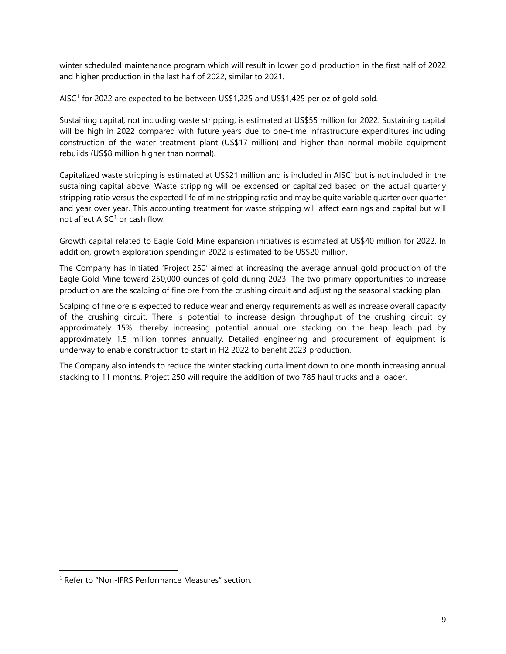winter scheduled maintenance program which will result in lower gold production in the first half of 2022 and higher production in the last half of 2022, similar to 2021.

<span id="page-9-0"></span>AISC<sup>[1](#page-9-1)</sup> for 2022 are expected to be between US\$1,225 and US\$1,425 per oz of gold sold.

Sustaining capital, not including waste stripping, is estimated at US\$55 million for 2022. Sustaining capital will be high in 2022 compared with future years due to one-time infrastructure expenditures including construction of the water treatment plant (US\$17 million) and higher than normal mobile equipment rebuilds (US\$8 million higher than normal).

[C](#page-9-0)apitalized waste stripping is estimated at US\$21 million and is included in AISC<sup>1</sup> but is not included in the sustaining capital above. Waste stripping will be expensed or capitalized based on the actual quarterly stripping ratio versus the expected life of mine stripping ratio and may be quite variable quarter over quarter and year over year. This accounting treatment for waste stripping will affect earnings and capital but will not affect  $AISC<sup>1</sup>$  $AISC<sup>1</sup>$  $AISC<sup>1</sup>$  or cash flow.

Growth capital related to Eagle Gold Mine expansion initiatives is estimated at US\$40 million for 2022. In addition, growth exploration spendingin 2022 is estimated to be US\$20 million.

The Company has initiated 'Project 250' aimed at increasing the average annual gold production of the Eagle Gold Mine toward 250,000 ounces of gold during 2023. The two primary opportunities to increase production are the scalping of fine ore from the crushing circuit and adjusting the seasonal stacking plan.

Scalping of fine ore is expected to reduce wear and energy requirements as well as increase overall capacity of the crushing circuit. There is potential to increase design throughput of the crushing circuit by approximately 15%, thereby increasing potential annual ore stacking on the heap leach pad by approximately 1.5 million tonnes annually. Detailed engineering and procurement of equipment is underway to enable construction to start in H2 2022 to benefit 2023 production.

The Company also intends to reduce the winter stacking curtailment down to one month increasing annual stacking to 11 months. Project 250 will require the addition of two 785 haul trucks and a loader.

<span id="page-9-2"></span><span id="page-9-1"></span><sup>&</sup>lt;sup>1</sup> Refer to "Non-IFRS Performance Measures" section.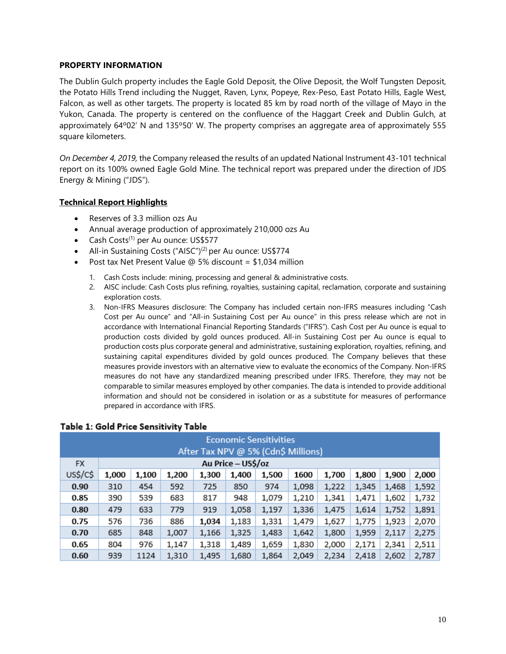# <span id="page-10-0"></span>**PROPERTY INFORMATION**

The Dublin Gulch property includes the Eagle Gold Deposit, the Olive Deposit, the Wolf Tungsten Deposit, the Potato Hills Trend including the Nugget, Raven, Lynx, Popeye, Rex-Peso, East Potato Hills, Eagle West, Falcon, as well as other targets. The property is located 85 km by road north of the village of Mayo in the Yukon, Canada. The property is centered on the confluence of the Haggart Creek and Dublin Gulch, at approximately 64º02' N and 135º50' W. The property comprises an aggregate area of approximately 555 square kilometers.

*On December 4, 2019,* the Company released the results of an updated National Instrument 43-101 technical report on its 100% owned Eagle Gold Mine. The technical report was prepared under the direction of JDS Energy & Mining ("JDS").

# **Technical Report Highlights**

- Reserves of 3.3 million ozs Au
- Annual average production of approximately 210,000 ozs Au
- Cash Costs $^{(1)}$  per Au ounce: US\$577
- All-in Sustaining Costs ("AISC")<sup>(2)</sup> per Au ounce: US\$774
- Post tax Net Present Value  $\omega$  5% discount = \$1,034 million
	- 1. Cash Costs include: mining, processing and general & administrative costs.
	- 2. AISC include: Cash Costs plus refining, royalties, sustaining capital, reclamation, corporate and sustaining exploration costs.
	- 3. Non-IFRS Measures disclosure: The Company has included certain non-IFRS measures including "Cash Cost per Au ounce" and "All-in Sustaining Cost per Au ounce" in this press release which are not in accordance with International Financial Reporting Standards ("IFRS"). Cash Cost per Au ounce is equal to production costs divided by gold ounces produced. All-in Sustaining Cost per Au ounce is equal to production costs plus corporate general and administrative, sustaining exploration, royalties, refining, and sustaining capital expenditures divided by gold ounces produced. The Company believes that these measures provide investors with an alternative view to evaluate the economics of the Company. Non-IFRS measures do not have any standardized meaning prescribed under IFRS. Therefore, they may not be comparable to similar measures employed by other companies. The data is intended to provide additional information and should not be considered in isolation or as a substitute for measures of performance prepared in accordance with IFRS.

| Economic Sensitivities<br>After Tax NPV @ 5% (Cdn\$ Millions) |                    |                                                                                       |       |       |       |       |       |       |       |       |       |  |
|---------------------------------------------------------------|--------------------|---------------------------------------------------------------------------------------|-------|-------|-------|-------|-------|-------|-------|-------|-------|--|
| <b>FX</b>                                                     | Au Price - US\$/oz |                                                                                       |       |       |       |       |       |       |       |       |       |  |
| US\$/C\$                                                      | 1,000              | 1,100<br>1,300<br>1,400<br>1600<br>1,900<br>1,200<br>1,500<br>1,700<br>1,800<br>2,000 |       |       |       |       |       |       |       |       |       |  |
| 0.90                                                          | 310                | 454                                                                                   | 592   | 725   | 850   | 974   | 1,098 | 1,222 | 1,345 | 1,468 | 1,592 |  |
| 0.85                                                          | 390                | 539                                                                                   | 683   | 817   | 948   | 1,079 | 1,210 | 1,341 | 1,471 | 1,602 | 1,732 |  |
| 0.80                                                          | 479                | 633                                                                                   | 779   | 919   | 1,058 | 1,197 | 1,336 | 1,475 | 1,614 | 1,752 | 1,891 |  |
| 0.75                                                          | 576                | 736                                                                                   | 886   | 1,034 | 1,183 | 1,331 | 1,479 | 1,627 | 1,775 | 1,923 | 2,070 |  |
| 0.70                                                          | 685                | 848                                                                                   | 1,007 | 1,166 | 1,325 | 1,483 | 1,642 | 1,800 | 1,959 | 2,117 | 2,275 |  |
| 0.65                                                          | 804                | 976                                                                                   | 1,147 | 1,318 | 1,489 | 1,659 | 1,830 | 2,000 | 2,171 | 2,341 | 2,511 |  |
| 0.60                                                          | 939                | 1124                                                                                  | 1,310 | 1,495 | 1,680 | 1,864 | 2,049 | 2,234 | 2,418 | 2,602 | 2,787 |  |

# Table 1: Gold Price Sensitivity Table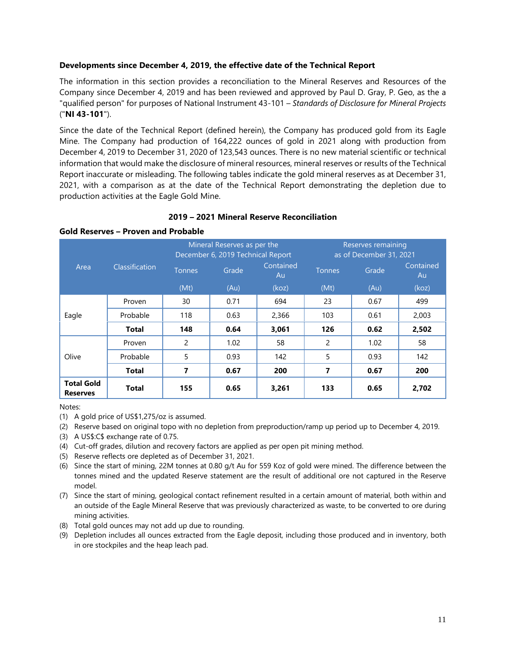#### **Developments since December 4, 2019, the effective date of the Technical Report**

The information in this section provides a reconciliation to the Mineral Reserves and Resources of the Company since December 4, 2019 and has been reviewed and approved by Paul D. Gray, P. Geo, as the a "qualified person" for purposes of National Instrument 43-101 – *Standards of Disclosure for Mineral Projects* ("**NI 43-101**").

Since the date of the Technical Report (defined herein), the Company has produced gold from its Eagle Mine. The Company had production of 164,222 ounces of gold in 2021 along with production from December 4, 2019 to December 31, 2020 of 123,543 ounces. There is no new material scientific or technical information that would make the disclosure of mineral resources, mineral reserves or results of the Technical Report inaccurate or misleading. The following tables indicate the gold mineral reserves as at December 31, 2021, with a comparison as at the date of the Technical Report demonstrating the depletion due to production activities at the Eagle Gold Mine.

#### **2019 – 2021 Mineral Reserve Reconciliation**

#### **Gold Reserves – Proven and Probable**

|                                      |                |                | Mineral Reserves as per the<br>December 6, 2019 Technical Report |       | Reserves remaining<br>as of December 31, 2021 |       |                 |  |
|--------------------------------------|----------------|----------------|------------------------------------------------------------------|-------|-----------------------------------------------|-------|-----------------|--|
| Area                                 | Classification | <b>Tonnes</b>  | Contained<br>Grade                                               |       | <b>Tonnes</b>                                 | Grade | Contained<br>Au |  |
|                                      |                | (Mt)           | (Au)                                                             | (koz) | (Mt)                                          | (Au)  | (koz)           |  |
|                                      | Proven         | 30             | 0.71                                                             | 694   | 23                                            | 0.67  | 499             |  |
| Eagle                                | Probable       | 118            | 0.63                                                             | 2,366 | 103                                           | 0.61  | 2,003           |  |
|                                      | <b>Total</b>   | 148            | 0.64                                                             | 3,061 | 126                                           | 0.62  | 2,502           |  |
|                                      | Proven         | $\overline{c}$ | 1.02                                                             | 58    | 2                                             | 1.02  | 58              |  |
| Olive                                | Probable       | 5              | 0.93                                                             | 142   | 5                                             | 0.93  | 142             |  |
|                                      | <b>Total</b>   | 7              | 0.67                                                             | 200   | 7                                             | 0.67  | 200             |  |
| <b>Total Gold</b><br><b>Reserves</b> | <b>Total</b>   | 155            | 0.65                                                             | 3,261 | 133                                           | 0.65  | 2,702           |  |

Notes:

- (1) A gold price of US\$1,275/oz is assumed.
- (2) Reserve based on original topo with no depletion from preproduction/ramp up period up to December 4, 2019.
- (3) A US\$:C\$ exchange rate of 0.75.
- (4) Cut-off grades, dilution and recovery factors are applied as per open pit mining method.
- (5) Reserve reflects ore depleted as of December 31, 2021.
- (6) Since the start of mining, 22M tonnes at 0.80 g/t Au for 559 Koz of gold were mined. The difference between the tonnes mined and the updated Reserve statement are the result of additional ore not captured in the Reserve model.
- (7) Since the start of mining, geological contact refinement resulted in a certain amount of material, both within and an outside of the Eagle Mineral Reserve that was previously characterized as waste, to be converted to ore during mining activities.
- (8) Total gold ounces may not add up due to rounding.
- (9) Depletion includes all ounces extracted from the Eagle deposit, including those produced and in inventory, both in ore stockpiles and the heap leach pad.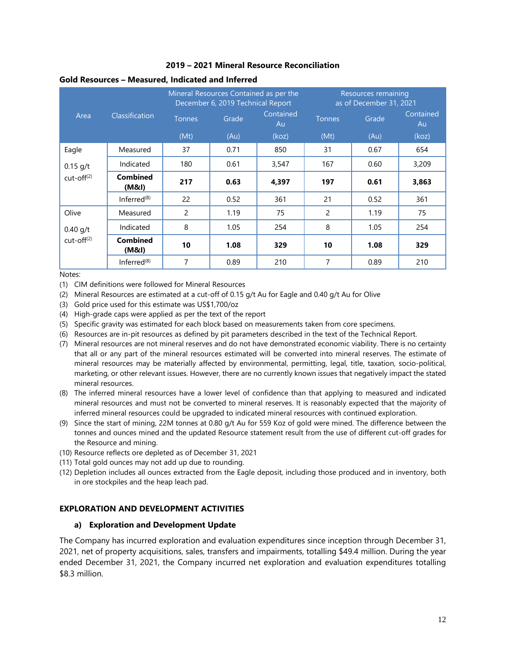# **2019 – 2021 Mineral Resource Reconciliation**

#### **Gold Resources – Measured, Indicated and Inferred**

|              | Classification           |                | Mineral Resources Contained as per the<br>December 6, 2019 Technical Report |                 | <b>Resources</b> remaining<br>as of December 31, 2021 |       |                 |  |
|--------------|--------------------------|----------------|-----------------------------------------------------------------------------|-----------------|-------------------------------------------------------|-------|-----------------|--|
| Area         |                          | <b>Tonnes</b>  | Grade                                                                       | Contained<br>Au | <b>Tonnes</b>                                         | Grade | Contained<br>Au |  |
|              |                          | (Mt)           | (Au)                                                                        | (koz)           | (Mt)                                                  | (Au)  | (koz)           |  |
| Eagle        | Measured                 | 37             | 0.71                                                                        | 850             | 31                                                    | 0.67  | 654             |  |
| $0.15$ g/t   | Indicated                | 180            | 0.61                                                                        | 3,547           | 167                                                   | 0.60  | 3,209           |  |
| $cut-off(2)$ | <b>Combined</b><br>(M&l) | 217            | 0.63                                                                        | 4,397           | 197                                                   | 0.61  | 3,863           |  |
|              | Inferred <sup>(8)</sup>  | 22             | 0.52                                                                        | 361             | 21                                                    | 0.52  | 361             |  |
| Olive        | Measured                 | $\overline{c}$ | 1.19                                                                        | 75              | 2                                                     | 1.19  | 75              |  |
| $0.40$ g/t   | Indicated                | 8              | 1.05                                                                        | 254             | 8                                                     | 1.05  | 254             |  |
| $cut-off(2)$ | <b>Combined</b><br>(M&I) | 10             | 1.08                                                                        | 329             | 10                                                    | 1.08  | 329             |  |
|              | Inferred $(8)$           | 7              | 0.89                                                                        | 210             | 7                                                     | 0.89  | 210             |  |

Notes:

(1) CIM definitions were followed for Mineral Resources

- (2) Mineral Resources are estimated at a cut-off of 0.15 g/t Au for Eagle and 0.40 g/t Au for Olive
- (3) Gold price used for this estimate was US\$1,700/oz
- (4) High-grade caps were applied as per the text of the report
- (5) Specific gravity was estimated for each block based on measurements taken from core specimens.
- (6) Resources are in-pit resources as defined by pit parameters described in the text of the Technical Report.
- (7) Mineral resources are not mineral reserves and do not have demonstrated economic viability. There is no certainty that all or any part of the mineral resources estimated will be converted into mineral reserves. The estimate of mineral resources may be materially affected by environmental, permitting, legal, title, taxation, socio-political, marketing, or other relevant issues. However, there are no currently known issues that negatively impact the stated mineral resources.
- (8) The inferred mineral resources have a lower level of confidence than that applying to measured and indicated mineral resources and must not be converted to mineral reserves. It is reasonably expected that the majority of inferred mineral resources could be upgraded to indicated mineral resources with continued exploration.
- (9) Since the start of mining, 22M tonnes at 0.80 g/t Au for 559 Koz of gold were mined. The difference between the tonnes and ounces mined and the updated Resource statement result from the use of different cut-off grades for the Resource and mining.
- (10) Resource reflects ore depleted as of December 31, 2021
- (11) Total gold ounces may not add up due to rounding.
- (12) Depletion includes all ounces extracted from the Eagle deposit, including those produced and in inventory, both in ore stockpiles and the heap leach pad.

# <span id="page-12-1"></span><span id="page-12-0"></span>**EXPLORATION AND DEVELOPMENT ACTIVITIES**

#### **a) Exploration and Development Update**

The Company has incurred exploration and evaluation expenditures since inception through December 31, 2021, net of property acquisitions, sales, transfers and impairments, totalling \$49.4 million. During the year ended December 31, 2021, the Company incurred net exploration and evaluation expenditures totalling \$8.3 million.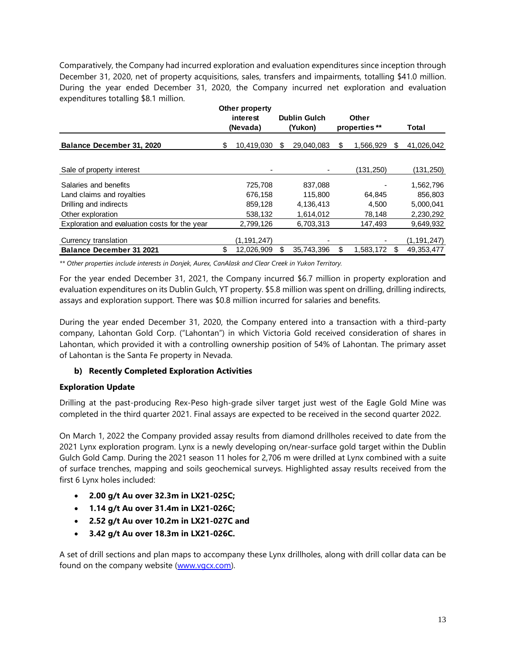Comparatively, the Company had incurred exploration and evaluation expenditures since inception through December 31, 2020, net of property acquisitions, sales, transfers and impairments, totalling \$41.0 million. During the year ended December 31, 2020, the Company incurred net exploration and evaluation expenditures totalling \$8.1 million.

|                                               |                  | Other property |                     |            |       |               |    |               |
|-----------------------------------------------|------------------|----------------|---------------------|------------|-------|---------------|----|---------------|
|                                               | interest         |                | <b>Dublin Gulch</b> |            | Other |               |    |               |
|                                               |                  | (Nevada)       |                     | (Yukon)    |       | properties ** |    | Total         |
| Balance December 31, 2020                     | 10,419,030<br>S. |                | \$                  | 29.040.083 | \$    | 1.566.929     | S  | 41,026,042    |
|                                               |                  |                |                     |            |       |               |    |               |
| Sale of property interest                     |                  |                |                     |            |       | (131, 250)    |    | (131,250)     |
| Salaries and benefits                         |                  | 725,708        |                     | 837,088    |       |               |    | 1,562,796     |
| Land claims and royalties                     |                  | 676,158        |                     | 115,800    |       | 64,845        |    | 856,803       |
| Drilling and indirects                        |                  | 859.128        |                     | 4.136.413  |       | 4.500         |    | 5.000.041     |
| Other exploration                             |                  | 538,132        |                     | 1.614.012  |       | 78.148        |    | 2,230,292     |
| Exploration and evaluation costs for the year |                  | 2,799,126      |                     | 6,703,313  |       | 147,493       |    | 9,649,932     |
| Currency translation                          |                  | (1, 191, 247)  |                     |            |       |               |    | (1, 191, 247) |
| <b>Balance December 31 2021</b>               | \$               | 12,026,909     | S                   | 35.743.396 | \$    | 1,583,172     | \$ | 49,353,477    |

*\*\* Other properties include interests in Donjek, Aurex, CanAlask and Clear Creek in Yukon Territory.*

For the year ended December 31, 2021, the Company incurred \$6.7 million in property exploration and evaluation expenditures on its Dublin Gulch, YT property. \$5.8 million was spent on drilling, drilling indirects, assays and exploration support. There was \$0.8 million incurred for salaries and benefits.

During the year ended December 31, 2020, the Company entered into a transaction with a third-party company, Lahontan Gold Corp. ("Lahontan") in which Victoria Gold received consideration of shares in Lahontan, which provided it with a controlling ownership position of 54% of Lahontan. The primary asset of Lahontan is the Santa Fe property in Nevada.

# <span id="page-13-0"></span>**b) Recently Completed Exploration Activities**

# **Exploration Update**

Drilling at the past-producing Rex-Peso high-grade silver target just west of the Eagle Gold Mine was completed in the third quarter 2021. Final assays are expected to be received in the second quarter 2022.

On March 1, 2022 the Company provided assay results from diamond drillholes received to date from the 2021 Lynx exploration program. Lynx is a newly developing on/near-surface gold target within the Dublin Gulch Gold Camp. During the 2021 season 11 holes for 2,706 m were drilled at Lynx combined with a suite of surface trenches, mapping and soils geochemical surveys. Highlighted assay results received from the first 6 Lynx holes included:

- **2.00 g/t Au over 32.3m in LX21-025C;**
- **1.14 g/t Au over 31.4m in LX21-026C;**
- **2.52 g/t Au over 10.2m in LX21-027C and**
- **3.42 g/t Au over 18.3m in LX21-026C.**

A set of drill sections and plan maps to accompany these Lynx drillholes, along with drill collar data can be found on the company website [\(www.vgcx.com\)](http://www.vgcx.com/).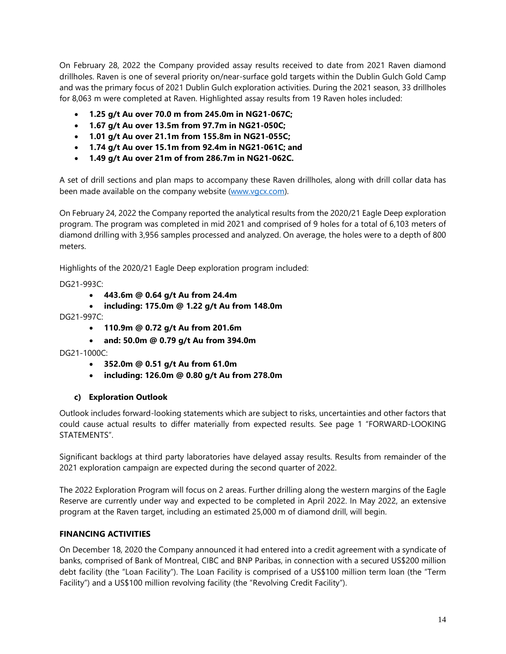On February 28, 2022 the Company provided assay results received to date from 2021 Raven diamond drillholes. Raven is one of several priority on/near-surface gold targets within the Dublin Gulch Gold Camp and was the primary focus of 2021 Dublin Gulch exploration activities. During the 2021 season, 33 drillholes for 8,063 m were completed at Raven. Highlighted assay results from 19 Raven holes included:

- **1.25 g/t Au over 70.0 m from 245.0m in NG21-067C;**
- **1.67 g/t Au over 13.5m from 97.7m in NG21-050C;**
- **1.01 g/t Au over 21.1m from 155.8m in NG21-055C;**
- **1.74 g/t Au over 15.1m from 92.4m in NG21-061C; and**
- **1.49 g/t Au over 21m of from 286.7m in NG21-062C.**

A set of drill sections and plan maps to accompany these Raven drillholes, along with drill collar data has been made available on the company website [\(www.vgcx.com\)](http://www.vgcx.com/).

On February 24, 2022 the Company reported the analytical results from the 2020/21 Eagle Deep exploration program. The program was completed in mid 2021 and comprised of 9 holes for a total of 6,103 meters of diamond drilling with 3,956 samples processed and analyzed. On average, the holes were to a depth of 800 meters.

Highlights of the 2020/21 Eagle Deep exploration program included:

DG21-993C:

- **443.6m @ 0.64 g/t Au from 24.4m**
- **including: 175.0m @ 1.22 g/t Au from 148.0m** DG21-997C:
	- **110.9m @ 0.72 g/t Au from 201.6m**
	- **and: 50.0m @ 0.79 g/t Au from 394.0m**

DG21-1000C:

- **352.0m @ 0.51 g/t Au from 61.0m**
- **including: 126.0m @ 0.80 g/t Au from 278.0m**

# <span id="page-14-0"></span>**c) Exploration Outlook**

Outlook includes forward-looking statements which are subject to risks, uncertainties and other factors that could cause actual results to differ materially from expected results. See page 1 "FORWARD-LOOKING STATEMENTS".

Significant backlogs at third party laboratories have delayed assay results. Results from remainder of the 2021 exploration campaign are expected during the second quarter of 2022.

The 2022 Exploration Program will focus on 2 areas. Further drilling along the western margins of the Eagle Reserve are currently under way and expected to be completed in April 2022. In May 2022, an extensive program at the Raven target, including an estimated 25,000 m of diamond drill, will begin.

# <span id="page-14-1"></span>**FINANCING ACTIVITIES**

On December 18, 2020 the Company announced it had entered into a credit agreement with a syndicate of banks, comprised of Bank of Montreal, CIBC and BNP Paribas, in connection with a secured US\$200 million debt facility (the "Loan Facility"). The Loan Facility is comprised of a US\$100 million term loan (the "Term Facility") and a US\$100 million revolving facility (the "Revolving Credit Facility").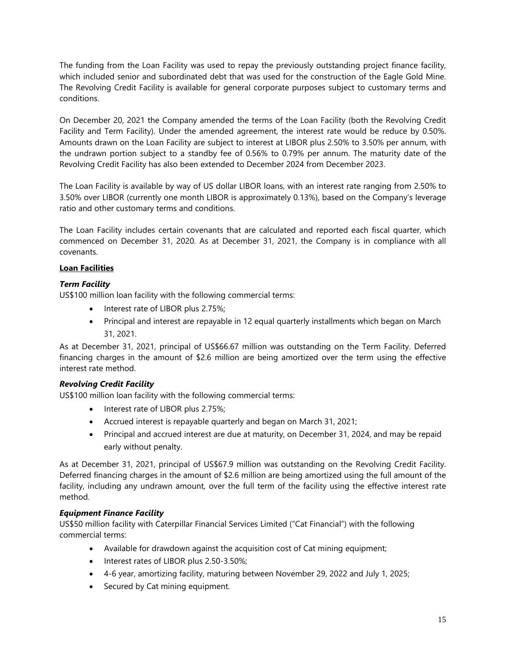The funding from the Loan Facility was used to repay the previously outstanding project finance facility, which included senior and subordinated debt that was used for the construction of the Eagle Gold Mine. The Revolving Credit Facility is available for general corporate purposes subject to customary terms and conditions.

On December 20, 2021 the Company amended the terms of the Loan Facility (both the Revolving Credit Facility and Term Facility). Under the amended agreement, the interest rate would be reduce by 0.50%. Amounts drawn on the Loan Facility are subject to interest at LIBOR plus 2.50% to 3.50% per annum, with the undrawn portion subject to a standby fee of 0.56% to 0.79% per annum. The maturity date of the Revolving Credit Facility has also been extended to December 2024 from December 2023.

The Loan Facility is available by way of US dollar LIBOR loans, with an interest rate ranging from 2.50% to 3.50% over LIBOR (currently one month LIBOR is approximately 0.13%), based on the Company's leverage ratio and other customary terms and conditions.

The Loan Facility includes certain covenants that are calculated and reported each fiscal quarter, which commenced on December 31, 2020. As at December 31, 2021, the Company is in compliance with all covenants.

# **Loan Facilities**

# *Term Facility*

US\$100 million loan facility with the following commercial terms:

- Interest rate of LIBOR plus 2.75%;
- Principal and interest are repayable in 12 equal quarterly installments which began on March 31, 2021.

As at December 31, 2021, principal of US\$66.67 million was outstanding on the Term Facility. Deferred financing charges in the amount of \$2.6 million are being amortized over the term using the effective interest rate method.

# *Revolving Credit Facility*

US\$100 million loan facility with the following commercial terms:

- Interest rate of LIBOR plus 2.75%;
- Accrued interest is repayable quarterly and began on March 31, 2021;
- Principal and accrued interest are due at maturity, on December 31, 2024, and may be repaid early without penalty.

As at December 31, 2021, principal of US\$67.9 million was outstanding on the Revolving Credit Facility. Deferred financing charges in the amount of \$2.6 million are being amortized using the full amount of the facility, including any undrawn amount, over the full term of the facility using the effective interest rate method.

# *Equipment Finance Facility*

US\$50 million facility with Caterpillar Financial Services Limited ("Cat Financial") with the following commercial terms:

- Available for drawdown against the acquisition cost of Cat mining equipment;
- Interest rates of LIBOR plus 2.50-3.50%;
- 4-6 year, amortizing facility, maturing between November 29, 2022 and July 1, 2025;
- Secured by Cat mining equipment.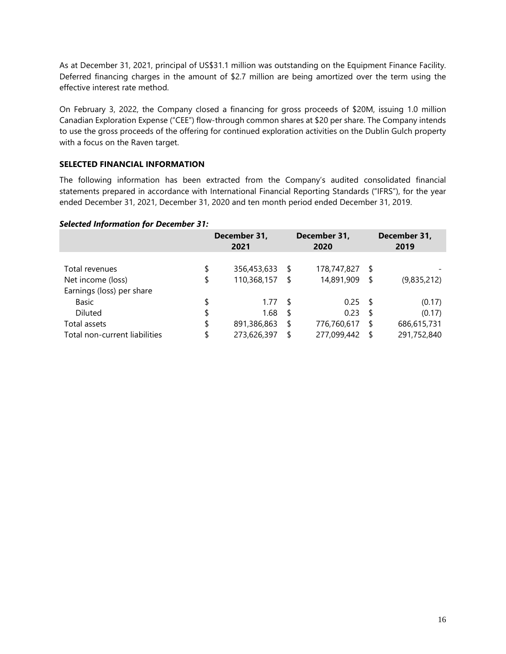As at December 31, 2021, principal of US\$31.1 million was outstanding on the Equipment Finance Facility. Deferred financing charges in the amount of \$2.7 million are being amortized over the term using the effective interest rate method.

On February 3, 2022, the Company closed a financing for gross proceeds of \$20M, issuing 1.0 million Canadian Exploration Expense ("CEE") flow-through common shares at \$20 per share. The Company intends to use the gross proceeds of the offering for continued exploration activities on the Dublin Gulch property with a focus on the Raven target.

# <span id="page-16-0"></span>**SELECTED FINANCIAL INFORMATION**

The following information has been extracted from the Company's audited consolidated financial statements prepared in accordance with International Financial Reporting Standards ("IFRS"), for the year ended December 31, 2021, December 31, 2020 and ten month period ended December 31, 2019.

# *Selected Information for December 31:*

|                               | December 31,<br>2021 |      | December 31,<br>2020 |      | December 31,<br>2019 |
|-------------------------------|----------------------|------|----------------------|------|----------------------|
|                               |                      |      |                      |      |                      |
| Total revenues                | \$<br>356,453,633    | - \$ | 178,747,827 \$       |      |                      |
| Net income (loss)             | \$<br>110,368,157    | S    | 14,891,909           | - \$ | (9,835,212)          |
| Earnings (loss) per share     |                      |      |                      |      |                      |
| Basic                         | \$<br>1.77           | -S   | $0.25$ \$            |      | (0.17)               |
| Diluted                       | \$<br>1.68           | \$   | $0.23$ \$            |      | (0.17)               |
| Total assets                  | \$<br>891,386,863    | \$   | 776,760,617          | -S   | 686,615,731          |
| Total non-current liabilities | \$<br>273,626,397    | \$   | 277,099,442          | -S   | 291,752,840          |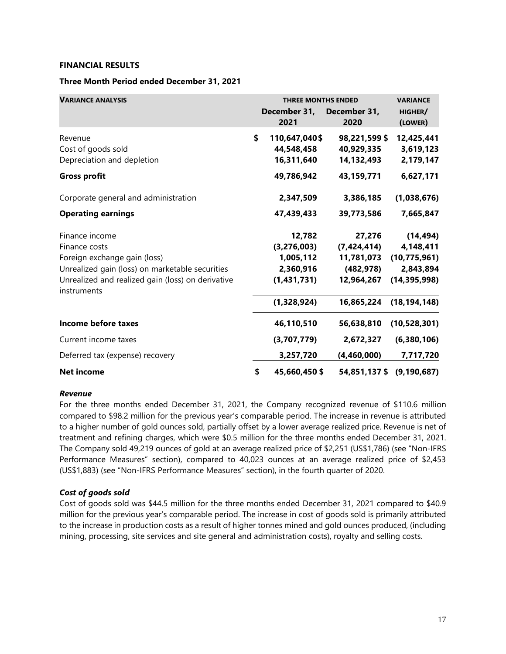#### <span id="page-17-0"></span>**FINANCIAL RESULTS**

# **Three Month Period ended December 31, 2021**

| <b>VARIANCE ANALYSIS</b>                                         | <b>THREE MONTHS ENDED</b> | <b>VARIANCE</b>      |                           |
|------------------------------------------------------------------|---------------------------|----------------------|---------------------------|
|                                                                  | December 31,<br>2021      | December 31,<br>2020 | HIGHER/<br>(LOWER)        |
| Revenue                                                          | \$<br>110,647,040\$       | 98,221,599 \$        | 12,425,441                |
| Cost of goods sold                                               | 44,548,458                | 40,929,335           | 3,619,123                 |
| Depreciation and depletion                                       | 16,311,640                | 14,132,493           | 2,179,147                 |
| <b>Gross profit</b>                                              | 49,786,942                | 43,159,771           | 6,627,171                 |
| Corporate general and administration                             | 2,347,509                 | 3,386,185            | (1,038,676)               |
| <b>Operating earnings</b>                                        | 47,439,433                | 39,773,586           | 7,665,847                 |
| Finance income                                                   | 12,782                    | 27,276               | (14, 494)                 |
| Finance costs                                                    | (3, 276, 003)             | (7, 424, 414)        | 4,148,411                 |
| Foreign exchange gain (loss)                                     | 1,005,112                 | 11,781,073           | (10, 775, 961)            |
| Unrealized gain (loss) on marketable securities                  | 2,360,916                 | (482, 978)           | 2,843,894                 |
| Unrealized and realized gain (loss) on derivative<br>instruments | (1,431,731)               | 12,964,267           | (14, 395, 998)            |
|                                                                  | (1,328,924)               | 16,865,224           | (18, 194, 148)            |
| Income before taxes                                              | 46,110,510                | 56,638,810           | (10, 528, 301)            |
| Current income taxes                                             | (3,707,779)               | 2,672,327            | (6,380,106)               |
| Deferred tax (expense) recovery                                  | 3,257,720                 | (4,460,000)          | 7,717,720                 |
| <b>Net income</b>                                                | \$<br>45,660,450 \$       |                      | 54,851,137 \$ (9,190,687) |

#### *Revenue*

For the three months ended December 31, 2021, the Company recognized revenue of \$110.6 million compared to \$98.2 million for the previous year's comparable period. The increase in revenue is attributed to a higher number of gold ounces sold, partially offset by a lower average realized price. Revenue is net of treatment and refining charges, which were \$0.5 million for the three months ended December 31, 2021. The Company sold 49,219 ounces of gold at an average realized price of \$2,251 (US\$1,786) (see "Non-IFRS Performance Measures" section), compared to 40,023 ounces at an average realized price of \$2,453 (US\$1,883) (see "Non-IFRS Performance Measures" section), in the fourth quarter of 2020.

# *Cost of goods sold*

Cost of goods sold was \$44.5 million for the three months ended December 31, 2021 compared to \$40.9 million for the previous year's comparable period. The increase in cost of goods sold is primarily attributed to the increase in production costs as a result of higher tonnes mined and gold ounces produced, (including mining, processing, site services and site general and administration costs), royalty and selling costs.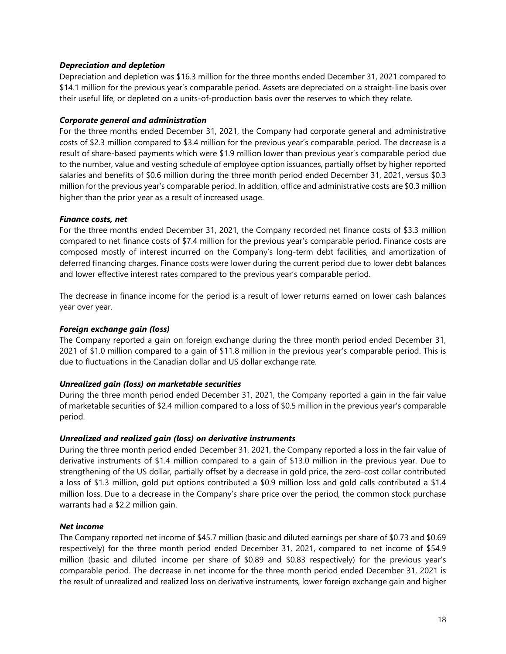# *Depreciation and depletion*

Depreciation and depletion was \$16.3 million for the three months ended December 31, 2021 compared to \$14.1 million for the previous year's comparable period. Assets are depreciated on a straight-line basis over their useful life, or depleted on a units-of-production basis over the reserves to which they relate.

# *Corporate general and administration*

For the three months ended December 31, 2021, the Company had corporate general and administrative costs of \$2.3 million compared to \$3.4 million for the previous year's comparable period. The decrease is a result of share-based payments which were \$1.9 million lower than previous year's comparable period due to the number, value and vesting schedule of employee option issuances, partially offset by higher reported salaries and benefits of \$0.6 million during the three month period ended December 31, 2021, versus \$0.3 million for the previous year's comparable period. In addition, office and administrative costs are \$0.3 million higher than the prior year as a result of increased usage.

# *Finance costs, net*

For the three months ended December 31, 2021, the Company recorded net finance costs of \$3.3 million compared to net finance costs of \$7.4 million for the previous year's comparable period. Finance costs are composed mostly of interest incurred on the Company's long-term debt facilities, and amortization of deferred financing charges. Finance costs were lower during the current period due to lower debt balances and lower effective interest rates compared to the previous year's comparable period.

The decrease in finance income for the period is a result of lower returns earned on lower cash balances year over year.

# *Foreign exchange gain (loss)*

The Company reported a gain on foreign exchange during the three month period ended December 31, 2021 of \$1.0 million compared to a gain of \$11.8 million in the previous year's comparable period. This is due to fluctuations in the Canadian dollar and US dollar exchange rate.

# *Unrealized gain (loss) on marketable securities*

During the three month period ended December 31, 2021, the Company reported a gain in the fair value of marketable securities of \$2.4 million compared to a loss of \$0.5 million in the previous year's comparable period.

# *Unrealized and realized gain (loss) on derivative instruments*

During the three month period ended December 31, 2021, the Company reported a loss in the fair value of derivative instruments of \$1.4 million compared to a gain of \$13.0 million in the previous year. Due to strengthening of the US dollar, partially offset by a decrease in gold price, the zero-cost collar contributed a loss of \$1.3 million, gold put options contributed a \$0.9 million loss and gold calls contributed a \$1.4 million loss. Due to a decrease in the Company's share price over the period, the common stock purchase warrants had a \$2.2 million gain.

# *Net income*

The Company reported net income of \$45.7 million (basic and diluted earnings per share of \$0.73 and \$0.69 respectively) for the three month period ended December 31, 2021, compared to net income of \$54.9 million (basic and diluted income per share of \$0.89 and \$0.83 respectively) for the previous year's comparable period. The decrease in net income for the three month period ended December 31, 2021 is the result of unrealized and realized loss on derivative instruments, lower foreign exchange gain and higher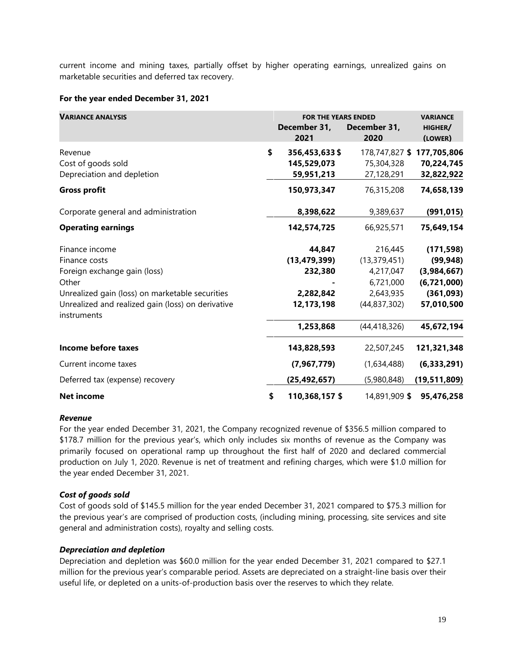current income and mining taxes, partially offset by higher operating earnings, unrealized gains on marketable securities and deferred tax recovery.

#### **For the year ended December 31, 2021**

| <b>VARIANCE ANALYSIS</b>                                         | <b>FOR THE YEARS ENDED</b><br>December 31,<br>2021 | December 31,<br>2020 | <b>VARIANCE</b><br>HIGHER/<br>(LOWER) |  |
|------------------------------------------------------------------|----------------------------------------------------|----------------------|---------------------------------------|--|
| Revenue                                                          | \$<br>356,453,633 \$                               | 178,747,827 \$       | 177,705,806                           |  |
| Cost of goods sold                                               | 145,529,073                                        | 75,304,328           | 70,224,745                            |  |
| Depreciation and depletion                                       | 59,951,213                                         | 27,128,291           | 32,822,922                            |  |
| <b>Gross profit</b>                                              | 150,973,347                                        | 76,315,208           | 74,658,139                            |  |
| Corporate general and administration                             | 8,398,622                                          | 9,389,637            | (991, 015)                            |  |
| <b>Operating earnings</b>                                        | 142,574,725                                        | 66,925,571           | 75,649,154                            |  |
| Finance income                                                   | 44,847                                             | 216,445              | (171, 598)                            |  |
| Finance costs                                                    | (13, 479, 399)                                     | (13, 379, 451)       | (99, 948)                             |  |
| Foreign exchange gain (loss)                                     | 232,380                                            | 4,217,047            | (3,984,667)                           |  |
| Other                                                            |                                                    | 6,721,000            | (6,721,000)                           |  |
| Unrealized gain (loss) on marketable securities                  | 2,282,842                                          | 2,643,935            | (361,093)                             |  |
| Unrealized and realized gain (loss) on derivative<br>instruments | 12, 173, 198                                       | (44, 837, 302)       | 57,010,500                            |  |
|                                                                  | 1,253,868                                          | (44, 418, 326)       | 45,672,194                            |  |
| <b>Income before taxes</b>                                       | 143,828,593                                        | 22,507,245           | 121,321,348                           |  |
| Current income taxes                                             | (7,967,779)                                        | (1,634,488)          | (6,333,291)                           |  |
| Deferred tax (expense) recovery                                  | (25, 492, 657)                                     | (5,980,848)          | (19,511,809)                          |  |
| <b>Net income</b>                                                | \$<br>110,368,157 \$                               | 14,891,909 \$        | 95,476,258                            |  |

#### *Revenue*

For the year ended December 31, 2021, the Company recognized revenue of \$356.5 million compared to \$178.7 million for the previous year's, which only includes six months of revenue as the Company was primarily focused on operational ramp up throughout the first half of 2020 and declared commercial production on July 1, 2020. Revenue is net of treatment and refining charges, which were \$1.0 million for the year ended December 31, 2021.

# *Cost of goods sold*

Cost of goods sold of \$145.5 million for the year ended December 31, 2021 compared to \$75.3 million for the previous year's are comprised of production costs, (including mining, processing, site services and site general and administration costs), royalty and selling costs.

# *Depreciation and depletion*

Depreciation and depletion was \$60.0 million for the year ended December 31, 2021 compared to \$27.1 million for the previous year's comparable period. Assets are depreciated on a straight-line basis over their useful life, or depleted on a units-of-production basis over the reserves to which they relate.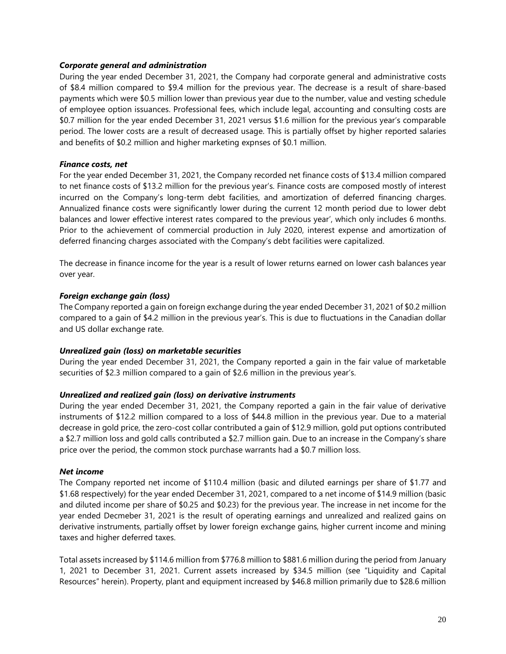#### *Corporate general and administration*

During the year ended December 31, 2021, the Company had corporate general and administrative costs of \$8.4 million compared to \$9.4 million for the previous year. The decrease is a result of share-based payments which were \$0.5 million lower than previous year due to the number, value and vesting schedule of employee option issuances. Professional fees, which include legal, accounting and consulting costs are \$0.7 million for the year ended December 31, 2021 versus \$1.6 million for the previous year's comparable period. The lower costs are a result of decreased usage. This is partially offset by higher reported salaries and benefits of \$0.2 million and higher marketing expnses of \$0.1 million.

#### *Finance costs, net*

For the year ended December 31, 2021, the Company recorded net finance costs of \$13.4 million compared to net finance costs of \$13.2 million for the previous year's. Finance costs are composed mostly of interest incurred on the Company's long-term debt facilities, and amortization of deferred financing charges. Annualized finance costs were significantly lower during the current 12 month period due to lower debt balances and lower effective interest rates compared to the previous year', which only includes 6 months. Prior to the achievement of commercial production in July 2020, interest expense and amortization of deferred financing charges associated with the Company's debt facilities were capitalized.

The decrease in finance income for the year is a result of lower returns earned on lower cash balances year over year.

# *Foreign exchange gain (loss)*

The Company reported a gain on foreign exchange during the year ended December 31, 2021 of \$0.2 million compared to a gain of \$4.2 million in the previous year's. This is due to fluctuations in the Canadian dollar and US dollar exchange rate.

#### *Unrealized gain (loss) on marketable securities*

During the year ended December 31, 2021, the Company reported a gain in the fair value of marketable securities of \$2.3 million compared to a gain of \$2.6 million in the previous year's.

# *Unrealized and realized gain (loss) on derivative instruments*

During the year ended December 31, 2021, the Company reported a gain in the fair value of derivative instruments of \$12.2 million compared to a loss of \$44.8 million in the previous year. Due to a material decrease in gold price, the zero-cost collar contributed a gain of \$12.9 million, gold put options contributed a \$2.7 million loss and gold calls contributed a \$2.7 million gain. Due to an increase in the Company's share price over the period, the common stock purchase warrants had a \$0.7 million loss.

#### *Net income*

The Company reported net income of \$110.4 million (basic and diluted earnings per share of \$1.77 and \$1.68 respectively) for the year ended December 31, 2021, compared to a net income of \$14.9 million (basic and diluted income per share of \$0.25 and \$0.23) for the previous year. The increase in net income for the year ended Decmeber 31, 2021 is the result of operating earnings and unrealized and realized gains on derivative instruments, partially offset by lower foreign exchange gains, higher current income and mining taxes and higher deferred taxes.

Total assets increased by \$114.6 million from \$776.8 million to \$881.6 million during the period from January 1, 2021 to December 31, 2021. Current assets increased by \$34.5 million (see "Liquidity and Capital Resources" herein). Property, plant and equipment increased by \$46.8 million primarily due to \$28.6 million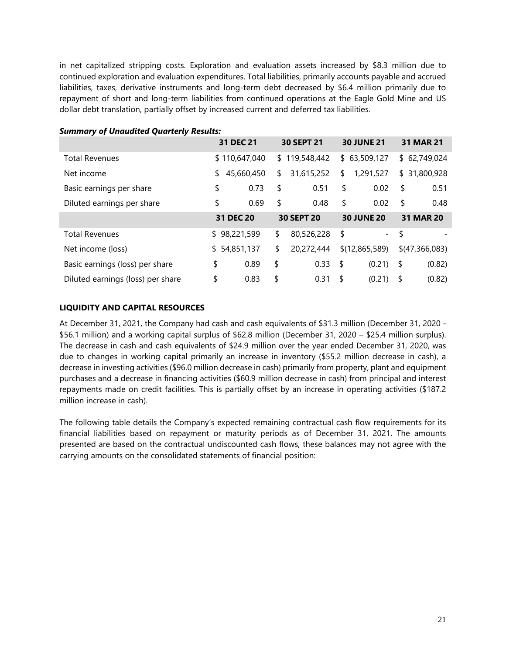in net capitalized stripping costs. Exploration and evaluation assets increased by \$8.3 million due to continued exploration and evaluation expenditures. Total liabilities, primarily accounts payable and accrued liabilities, taxes, derivative instruments and long-term debt decreased by \$6.4 million primarily due to repayment of short and long-term liabilities from continued operations at the Eagle Gold Mine and US dollar debt translation, partially offset by increased current and deferred tax liabilities.

|                                   | 31 DEC 21        | 30 SEPT 21        |     | <b>30 JUNE 21</b>   | <b>31 MAR 21</b> |
|-----------------------------------|------------------|-------------------|-----|---------------------|------------------|
| <b>Total Revenues</b>             | \$110,647,040    | \$119,548,442     |     | \$63,509,127        | \$62,749,024     |
| Net income                        | \$<br>45,660,450 | \$<br>31,615,252  | \$  | 1,291,527           | \$<br>31,800,928 |
| Basic earnings per share          | \$<br>0.73       | \$<br>0.51        | \$  | 0.02                | \$<br>0.51       |
| Diluted earnings per share        | \$<br>0.69       | \$<br>0.48        | \$  | 0.02                | \$<br>0.48       |
|                                   | 31 DEC 20        | <b>30 SEPT 20</b> |     | <b>30 JUNE 20</b>   | <b>31 MAR 20</b> |
| <b>Total Revenues</b>             | \$98,221,599     | \$<br>80,526,228  | \$  | $\omega_{\rm{max}}$ | \$               |
| Net income (loss)                 | \$54,851,137     | \$<br>20,272,444  |     | \$(12,865,589)      | \$(47,366,083)   |
| Basic earnings (loss) per share   | \$<br>0.89       | \$<br>0.33        | -\$ | (0.21)              | \$<br>(0.82)     |
| Diluted earnings (loss) per share | \$<br>0.83       | \$<br>0.31        | \$  | (0.21)              | \$<br>(0.82)     |

# *Summary of Unaudited Quarterly Results:*

# <span id="page-21-0"></span>**LIQUIDITY AND CAPITAL RESOURCES**

At December 31, 2021, the Company had cash and cash equivalents of \$31.3 million (December 31, 2020 - \$56.1 million) and a working capital surplus of \$62.8 million (December 31, 2020 – \$25.4 million surplus). The decrease in cash and cash equivalents of \$24.9 million over the year ended December 31, 2020, was due to changes in working capital primarily an increase in inventory (\$55.2 million decrease in cash), a decrease in investing activities (\$96.0 million decrease in cash) primarily from property, plant and equipment purchases and a decrease in financing activities (\$60.9 million decrease in cash) from principal and interest repayments made on credit facilities. This is partially offset by an increase in operating activities (\$187.2 million increase in cash).

The following table details the Company's expected remaining contractual cash flow requirements for its financial liabilities based on repayment or maturity periods as of December 31, 2021. The amounts presented are based on the contractual undiscounted cash flows, these balances may not agree with the carrying amounts on the consolidated statements of financial position: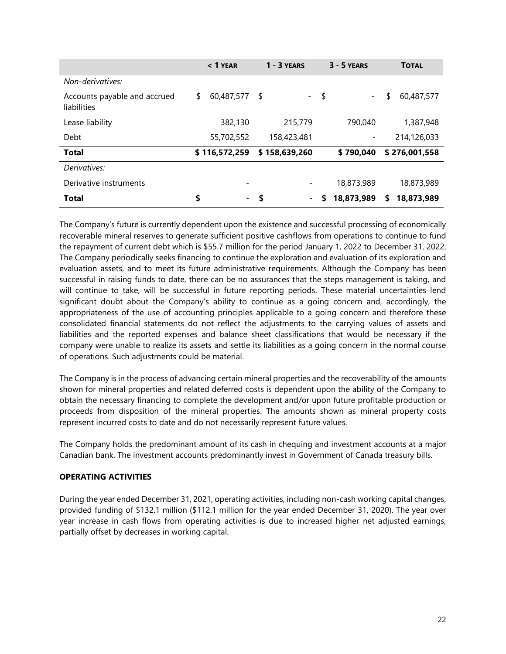|                                             | $< 1$ YEAR               | $1 - 3$ YEARS              | $3 - 5$ YEARS    | <b>TOTAL</b>     |
|---------------------------------------------|--------------------------|----------------------------|------------------|------------------|
| Non-derivatives:                            |                          |                            |                  |                  |
| Accounts payable and accrued<br>liabilities | 60,487,577<br>\$         | <b>S</b><br>$\sim 10^{-1}$ | \$               | \$<br>60,487,577 |
| Lease liability                             | 382,130                  | 215,779                    | 790.040          | 1,387,948        |
| Debt                                        | 55,702,552               | 158,423,481                |                  | 214,126,033      |
| <b>Total</b>                                | \$116,572,259            | \$158,639,260              | \$790,040        | \$276,001,558    |
| Derivatives:                                |                          |                            |                  |                  |
| Derivative instruments                      | $\overline{\phantom{a}}$ |                            | 18,873,989       | 18,873,989       |
| <b>Total</b>                                | \$<br>۰.                 | \$                         | 18,873,989<br>S. | 18,873,989<br>\$ |

The Company's future is currently dependent upon the existence and successful processing of economically recoverable mineral reserves to generate sufficient positive cashflows from operations to continue to fund the repayment of current debt which is \$55.7 million for the period January 1, 2022 to December 31, 2022. The Company periodically seeks financing to continue the exploration and evaluation of its exploration and evaluation assets, and to meet its future administrative requirements. Although the Company has been successful in raising funds to date, there can be no assurances that the steps management is taking, and will continue to take, will be successful in future reporting periods. These material uncertainties lend significant doubt about the Company's ability to continue as a going concern and, accordingly, the appropriateness of the use of accounting principles applicable to a going concern and therefore these consolidated financial statements do not reflect the adjustments to the carrying values of assets and liabilities and the reported expenses and balance sheet classifications that would be necessary if the company were unable to realize its assets and settle its liabilities as a going concern in the normal course of operations. Such adjustments could be material.

The Company is in the process of advancing certain mineral properties and the recoverability of the amounts shown for mineral properties and related deferred costs is dependent upon the ability of the Company to obtain the necessary financing to complete the development and/or upon future profitable production or proceeds from disposition of the mineral properties. The amounts shown as mineral property costs represent incurred costs to date and do not necessarily represent future values.

The Company holds the predominant amount of its cash in chequing and investment accounts at a major Canadian bank. The investment accounts predominantly invest in Government of Canada treasury bills.

# <span id="page-22-0"></span>**OPERATING ACTIVITIES**

During the year ended December 31, 2021, operating activities, including non-cash working capital changes, provided funding of \$132.1 million (\$112.1 million for the year ended December 31, 2020). The year over year increase in cash flows from operating activities is due to increased higher net adjusted earnings, partially offset by decreases in working capital.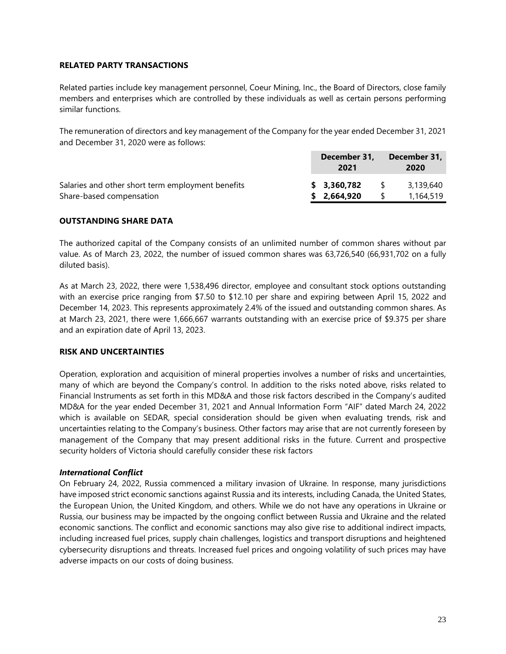# <span id="page-23-0"></span>**RELATED PARTY TRANSACTIONS**

Related parties include key management personnel, Coeur Mining, Inc., the Board of Directors, close family members and enterprises which are controlled by these individuals as well as certain persons performing similar functions.

The remuneration of directors and key management of the Company for the year ended December 31, 2021 and December 31, 2020 were as follows:

|                                                   | December 31,<br>2021 | December 31,<br>2020 |
|---------------------------------------------------|----------------------|----------------------|
| Salaries and other short term employment benefits | \$3.360.782          | 3,139,640            |
| Share-based compensation                          | \$2,664,920          | 1.164.519            |

# <span id="page-23-1"></span>**OUTSTANDING SHARE DATA**

The authorized capital of the Company consists of an unlimited number of common shares without par value. As of March 23, 2022, the number of issued common shares was 63,726,540 (66,931,702 on a fully diluted basis).

As at March 23, 2022, there were 1,538,496 director, employee and consultant stock options outstanding with an exercise price ranging from \$7.50 to \$12.10 per share and expiring between April 15, 2022 and December 14, 2023. This represents approximately 2.4% of the issued and outstanding common shares. As at March 23, 2021, there were 1,666,667 warrants outstanding with an exercise price of \$9.375 per share and an expiration date of April 13, 2023.

# <span id="page-23-2"></span>**RISK AND UNCERTAINTIES**

Operation, exploration and acquisition of mineral properties involves a number of risks and uncertainties, many of which are beyond the Company's control. In addition to the risks noted above, risks related to Financial Instruments as set forth in this MD&A and those risk factors described in the Company's audited MD&A for the year ended December 31, 2021 and Annual Information Form "AIF" dated March 24, 2022 which is available on SEDAR, special consideration should be given when evaluating trends, risk and uncertainties relating to the Company's business. Other factors may arise that are not currently foreseen by management of the Company that may present additional risks in the future. Current and prospective security holders of Victoria should carefully consider these risk factors

# *International Conflict*

On February 24, 2022, Russia commenced a military invasion of Ukraine. In response, many jurisdictions have imposed strict economic sanctions against Russia and its interests, including Canada, the United States, the European Union, the United Kingdom, and others. While we do not have any operations in Ukraine or Russia, our business may be impacted by the ongoing conflict between Russia and Ukraine and the related economic sanctions. The conflict and economic sanctions may also give rise to additional indirect impacts, including increased fuel prices, supply chain challenges, logistics and transport disruptions and heightened cybersecurity disruptions and threats. Increased fuel prices and ongoing volatility of such prices may have adverse impacts on our costs of doing business.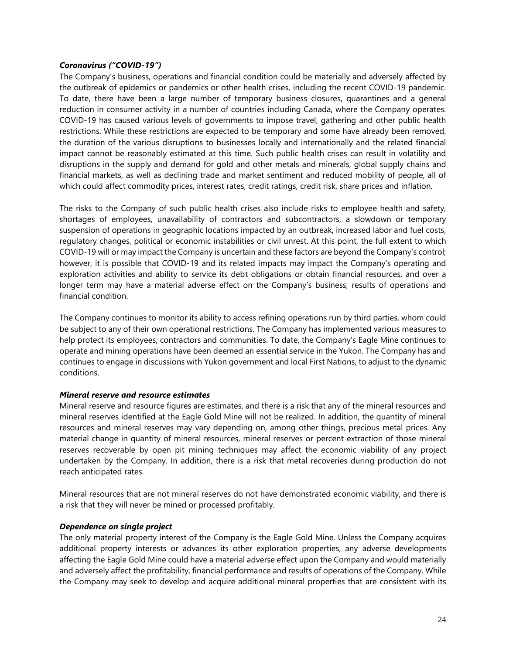#### *Coronavirus ("COVID-19")*

The Company's business, operations and financial condition could be materially and adversely affected by the outbreak of epidemics or pandemics or other health crises, including the recent COVID-19 pandemic. To date, there have been a large number of temporary business closures, quarantines and a general reduction in consumer activity in a number of countries including Canada, where the Company operates. COVID-19 has caused various levels of governments to impose travel, gathering and other public health restrictions. While these restrictions are expected to be temporary and some have already been removed, the duration of the various disruptions to businesses locally and internationally and the related financial impact cannot be reasonably estimated at this time. Such public health crises can result in volatility and disruptions in the supply and demand for gold and other metals and minerals, global supply chains and financial markets, as well as declining trade and market sentiment and reduced mobility of people, all of which could affect commodity prices, interest rates, credit ratings, credit risk, share prices and inflation.

The risks to the Company of such public health crises also include risks to employee health and safety, shortages of employees, unavailability of contractors and subcontractors, a slowdown or temporary suspension of operations in geographic locations impacted by an outbreak, increased labor and fuel costs, regulatory changes, political or economic instabilities or civil unrest. At this point, the full extent to which COVID-19 will or may impact the Company is uncertain and these factors are beyond the Company's control; however, it is possible that COVID-19 and its related impacts may impact the Company's operating and exploration activities and ability to service its debt obligations or obtain financial resources, and over a longer term may have a material adverse effect on the Company's business, results of operations and financial condition.

The Company continues to monitor its ability to access refining operations run by third parties, whom could be subject to any of their own operational restrictions. The Company has implemented various measures to help protect its employees, contractors and communities. To date, the Company's Eagle Mine continues to operate and mining operations have been deemed an essential service in the Yukon. The Company has and continues to engage in discussions with Yukon government and local First Nations, to adjust to the dynamic conditions.

# *Mineral reserve and resource estimates*

Mineral reserve and resource figures are estimates, and there is a risk that any of the mineral resources and mineral reserves identified at the Eagle Gold Mine will not be realized. In addition, the quantity of mineral resources and mineral reserves may vary depending on, among other things, precious metal prices. Any material change in quantity of mineral resources, mineral reserves or percent extraction of those mineral reserves recoverable by open pit mining techniques may affect the economic viability of any project undertaken by the Company. In addition, there is a risk that metal recoveries during production do not reach anticipated rates.

Mineral resources that are not mineral reserves do not have demonstrated economic viability, and there is a risk that they will never be mined or processed profitably.

# *Dependence on single project*

The only material property interest of the Company is the Eagle Gold Mine. Unless the Company acquires additional property interests or advances its other exploration properties, any adverse developments affecting the Eagle Gold Mine could have a material adverse effect upon the Company and would materially and adversely affect the profitability, financial performance and results of operations of the Company. While the Company may seek to develop and acquire additional mineral properties that are consistent with its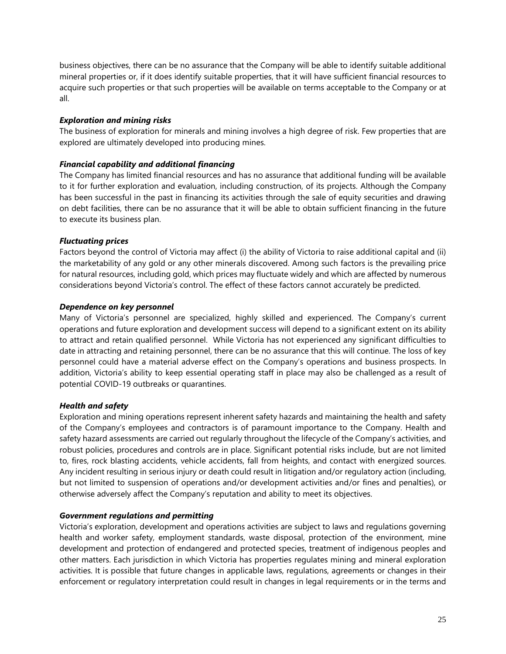business objectives, there can be no assurance that the Company will be able to identify suitable additional mineral properties or, if it does identify suitable properties, that it will have sufficient financial resources to acquire such properties or that such properties will be available on terms acceptable to the Company or at all.

# *Exploration and mining risks*

The business of exploration for minerals and mining involves a high degree of risk. Few properties that are explored are ultimately developed into producing mines.

# *Financial capability and additional financing*

The Company has limited financial resources and has no assurance that additional funding will be available to it for further exploration and evaluation, including construction, of its projects. Although the Company has been successful in the past in financing its activities through the sale of equity securities and drawing on debt facilities, there can be no assurance that it will be able to obtain sufficient financing in the future to execute its business plan.

# *Fluctuating prices*

Factors beyond the control of Victoria may affect (i) the ability of Victoria to raise additional capital and (ii) the marketability of any gold or any other minerals discovered. Among such factors is the prevailing price for natural resources, including gold, which prices may fluctuate widely and which are affected by numerous considerations beyond Victoria's control. The effect of these factors cannot accurately be predicted.

# *Dependence on key personnel*

Many of Victoria's personnel are specialized, highly skilled and experienced. The Company's current operations and future exploration and development success will depend to a significant extent on its ability to attract and retain qualified personnel. While Victoria has not experienced any significant difficulties to date in attracting and retaining personnel, there can be no assurance that this will continue. The loss of key personnel could have a material adverse effect on the Company's operations and business prospects. In addition, Victoria's ability to keep essential operating staff in place may also be challenged as a result of potential COVID-19 outbreaks or quarantines.

# *Health and safety*

Exploration and mining operations represent inherent safety hazards and maintaining the health and safety of the Company's employees and contractors is of paramount importance to the Company. Health and safety hazard assessments are carried out regularly throughout the lifecycle of the Company's activities, and robust policies, procedures and controls are in place. Significant potential risks include, but are not limited to, fires, rock blasting accidents, vehicle accidents, fall from heights, and contact with energized sources. Any incident resulting in serious injury or death could result in litigation and/or regulatory action (including, but not limited to suspension of operations and/or development activities and/or fines and penalties), or otherwise adversely affect the Company's reputation and ability to meet its objectives.

# *Government regulations and permitting*

Victoria's exploration, development and operations activities are subject to laws and regulations governing health and worker safety, employment standards, waste disposal, protection of the environment, mine development and protection of endangered and protected species, treatment of indigenous peoples and other matters. Each jurisdiction in which Victoria has properties regulates mining and mineral exploration activities. It is possible that future changes in applicable laws, regulations, agreements or changes in their enforcement or regulatory interpretation could result in changes in legal requirements or in the terms and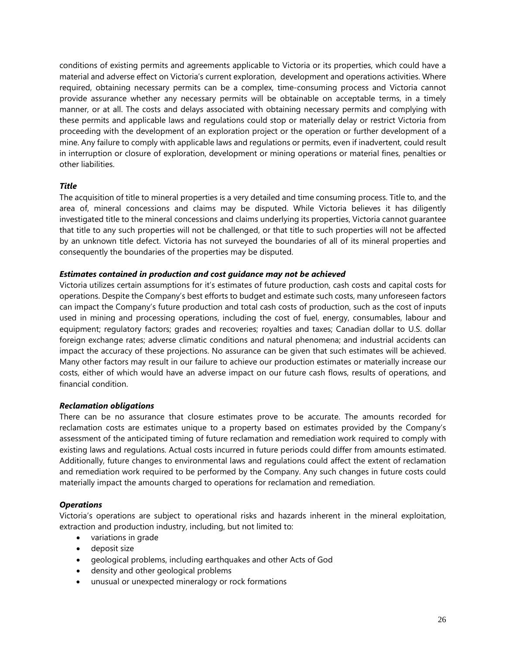conditions of existing permits and agreements applicable to Victoria or its properties, which could have a material and adverse effect on Victoria's current exploration, development and operations activities. Where required, obtaining necessary permits can be a complex, time-consuming process and Victoria cannot provide assurance whether any necessary permits will be obtainable on acceptable terms, in a timely manner, or at all. The costs and delays associated with obtaining necessary permits and complying with these permits and applicable laws and regulations could stop or materially delay or restrict Victoria from proceeding with the development of an exploration project or the operation or further development of a mine. Any failure to comply with applicable laws and regulations or permits, even if inadvertent, could result in interruption or closure of exploration, development or mining operations or material fines, penalties or other liabilities.

# *Title*

The acquisition of title to mineral properties is a very detailed and time consuming process. Title to, and the area of, mineral concessions and claims may be disputed. While Victoria believes it has diligently investigated title to the mineral concessions and claims underlying its properties, Victoria cannot guarantee that title to any such properties will not be challenged, or that title to such properties will not be affected by an unknown title defect. Victoria has not surveyed the boundaries of all of its mineral properties and consequently the boundaries of the properties may be disputed.

# *Estimates contained in production and cost guidance may not be achieved*

Victoria utilizes certain assumptions for it's estimates of future production, cash costs and capital costs for operations. Despite the Company's best efforts to budget and estimate such costs, many unforeseen factors can impact the Company's future production and total cash costs of production, such as the cost of inputs used in mining and processing operations, including the cost of fuel, energy, consumables, labour and equipment; regulatory factors; grades and recoveries; royalties and taxes; Canadian dollar to U.S. dollar foreign exchange rates; adverse climatic conditions and natural phenomena; and industrial accidents can impact the accuracy of these projections. No assurance can be given that such estimates will be achieved. Many other factors may result in our failure to achieve our production estimates or materially increase our costs, either of which would have an adverse impact on our future cash flows, results of operations, and financial condition.

# *Reclamation obligations*

There can be no assurance that closure estimates prove to be accurate. The amounts recorded for reclamation costs are estimates unique to a property based on estimates provided by the Company's assessment of the anticipated timing of future reclamation and remediation work required to comply with existing laws and regulations. Actual costs incurred in future periods could differ from amounts estimated. Additionally, future changes to environmental laws and regulations could affect the extent of reclamation and remediation work required to be performed by the Company. Any such changes in future costs could materially impact the amounts charged to operations for reclamation and remediation.

# *Operations*

Victoria's operations are subject to operational risks and hazards inherent in the mineral exploitation, extraction and production industry, including, but not limited to:

- variations in grade
- deposit size
- geological problems, including earthquakes and other Acts of God
- density and other geological problems
- unusual or unexpected mineralogy or rock formations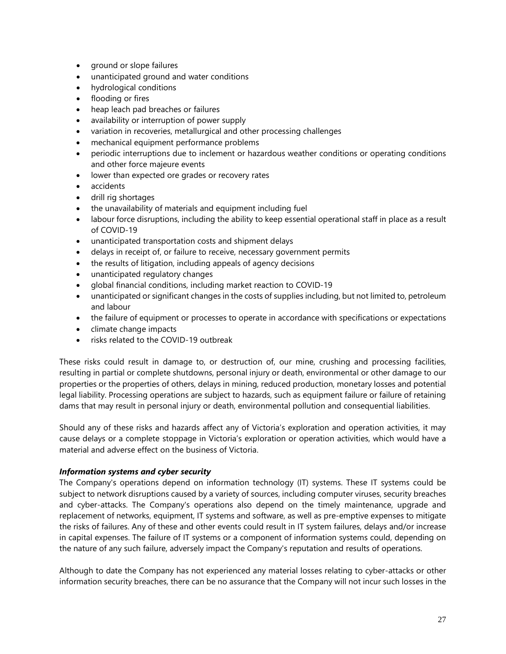- ground or slope failures
- unanticipated ground and water conditions
- hydrological conditions
- flooding or fires
- heap leach pad breaches or failures
- availability or interruption of power supply
- variation in recoveries, metallurgical and other processing challenges
- mechanical equipment performance problems
- periodic interruptions due to inclement or hazardous weather conditions or operating conditions and other force majeure events
- lower than expected ore grades or recovery rates
- accidents
- drill rig shortages
- the unavailability of materials and equipment including fuel
- labour force disruptions, including the ability to keep essential operational staff in place as a result of COVID-19
- unanticipated transportation costs and shipment delays
- delays in receipt of, or failure to receive, necessary government permits
- the results of litigation, including appeals of agency decisions
- unanticipated regulatory changes
- global financial conditions, including market reaction to COVID-19
- unanticipated or significant changes in the costs of supplies including, but not limited to, petroleum and labour
- the failure of equipment or processes to operate in accordance with specifications or expectations
- climate change impacts
- risks related to the COVID-19 outbreak

These risks could result in damage to, or destruction of, our mine, crushing and processing facilities, resulting in partial or complete shutdowns, personal injury or death, environmental or other damage to our properties or the properties of others, delays in mining, reduced production, monetary losses and potential legal liability. Processing operations are subject to hazards, such as equipment failure or failure of retaining dams that may result in personal injury or death, environmental pollution and consequential liabilities.

Should any of these risks and hazards affect any of Victoria's exploration and operation activities, it may cause delays or a complete stoppage in Victoria's exploration or operation activities, which would have a material and adverse effect on the business of Victoria.

# *Information systems and cyber security*

The Company's operations depend on information technology (IT) systems. These IT systems could be subject to network disruptions caused by a variety of sources, including computer viruses, security breaches and cyber-attacks. The Company's operations also depend on the timely maintenance, upgrade and replacement of networks, equipment, IT systems and software, as well as pre-emptive expenses to mitigate the risks of failures. Any of these and other events could result in IT system failures, delays and/or increase in capital expenses. The failure of IT systems or a component of information systems could, depending on the nature of any such failure, adversely impact the Company's reputation and results of operations.

Although to date the Company has not experienced any material losses relating to cyber-attacks or other information security breaches, there can be no assurance that the Company will not incur such losses in the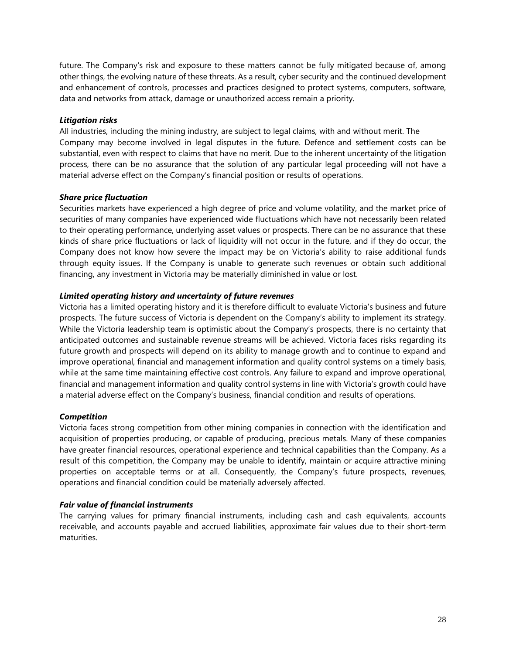future. The Company's risk and exposure to these matters cannot be fully mitigated because of, among other things, the evolving nature of these threats. As a result, cyber security and the continued development and enhancement of controls, processes and practices designed to protect systems, computers, software, data and networks from attack, damage or unauthorized access remain a priority.

# *Litigation risks*

All industries, including the mining industry, are subject to legal claims, with and without merit. The Company may become involved in legal disputes in the future. Defence and settlement costs can be substantial, even with respect to claims that have no merit. Due to the inherent uncertainty of the litigation process, there can be no assurance that the solution of any particular legal proceeding will not have a material adverse effect on the Company's financial position or results of operations.

# *Share price fluctuation*

Securities markets have experienced a high degree of price and volume volatility, and the market price of securities of many companies have experienced wide fluctuations which have not necessarily been related to their operating performance, underlying asset values or prospects. There can be no assurance that these kinds of share price fluctuations or lack of liquidity will not occur in the future, and if they do occur, the Company does not know how severe the impact may be on Victoria's ability to raise additional funds through equity issues. If the Company is unable to generate such revenues or obtain such additional financing, any investment in Victoria may be materially diminished in value or lost.

# *Limited operating history and uncertainty of future revenues*

Victoria has a limited operating history and it is therefore difficult to evaluate Victoria's business and future prospects. The future success of Victoria is dependent on the Company's ability to implement its strategy. While the Victoria leadership team is optimistic about the Company's prospects, there is no certainty that anticipated outcomes and sustainable revenue streams will be achieved. Victoria faces risks regarding its future growth and prospects will depend on its ability to manage growth and to continue to expand and improve operational, financial and management information and quality control systems on a timely basis, while at the same time maintaining effective cost controls. Any failure to expand and improve operational, financial and management information and quality control systems in line with Victoria's growth could have a material adverse effect on the Company's business, financial condition and results of operations.

# *Competition*

Victoria faces strong competition from other mining companies in connection with the identification and acquisition of properties producing, or capable of producing, precious metals. Many of these companies have greater financial resources, operational experience and technical capabilities than the Company. As a result of this competition, the Company may be unable to identify, maintain or acquire attractive mining properties on acceptable terms or at all. Consequently, the Company's future prospects, revenues, operations and financial condition could be materially adversely affected.

# *Fair value of financial instruments*

The carrying values for primary financial instruments, including cash and cash equivalents, accounts receivable, and accounts payable and accrued liabilities, approximate fair values due to their short-term maturities.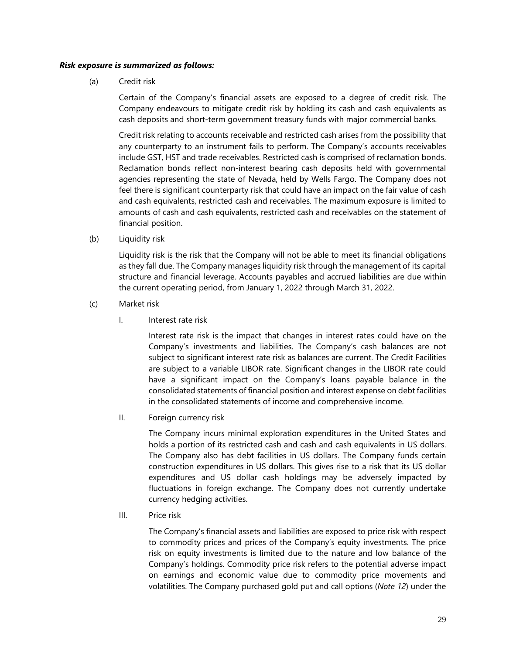#### *Risk exposure is summarized as follows:*

(a) Credit risk

Certain of the Company's financial assets are exposed to a degree of credit risk. The Company endeavours to mitigate credit risk by holding its cash and cash equivalents as cash deposits and short-term government treasury funds with major commercial banks.

Credit risk relating to accounts receivable and restricted cash arises from the possibility that any counterparty to an instrument fails to perform. The Company's accounts receivables include GST, HST and trade receivables. Restricted cash is comprised of reclamation bonds. Reclamation bonds reflect non-interest bearing cash deposits held with governmental agencies representing the state of Nevada, held by Wells Fargo. The Company does not feel there is significant counterparty risk that could have an impact on the fair value of cash and cash equivalents, restricted cash and receivables. The maximum exposure is limited to amounts of cash and cash equivalents, restricted cash and receivables on the statement of financial position.

(b) Liquidity risk

Liquidity risk is the risk that the Company will not be able to meet its financial obligations as they fall due. The Company manages liquidity risk through the management of its capital structure and financial leverage. Accounts payables and accrued liabilities are due within the current operating period, from January 1, 2022 through March 31, 2022.

- (c) Market risk
	- I. Interest rate risk

Interest rate risk is the impact that changes in interest rates could have on the Company's investments and liabilities. The Company's cash balances are not subject to significant interest rate risk as balances are current. The Credit Facilities are subject to a variable LIBOR rate. Significant changes in the LIBOR rate could have a significant impact on the Company's loans payable balance in the consolidated statements of financial position and interest expense on debt facilities in the consolidated statements of income and comprehensive income.

II. Foreign currency risk

The Company incurs minimal exploration expenditures in the United States and holds a portion of its restricted cash and cash and cash equivalents in US dollars. The Company also has debt facilities in US dollars. The Company funds certain construction expenditures in US dollars. This gives rise to a risk that its US dollar expenditures and US dollar cash holdings may be adversely impacted by fluctuations in foreign exchange. The Company does not currently undertake currency hedging activities.

III. Price risk

The Company's financial assets and liabilities are exposed to price risk with respect to commodity prices and prices of the Company's equity investments. The price risk on equity investments is limited due to the nature and low balance of the Company's holdings. Commodity price risk refers to the potential adverse impact on earnings and economic value due to commodity price movements and volatilities. The Company purchased gold put and call options (*Note 12*) under the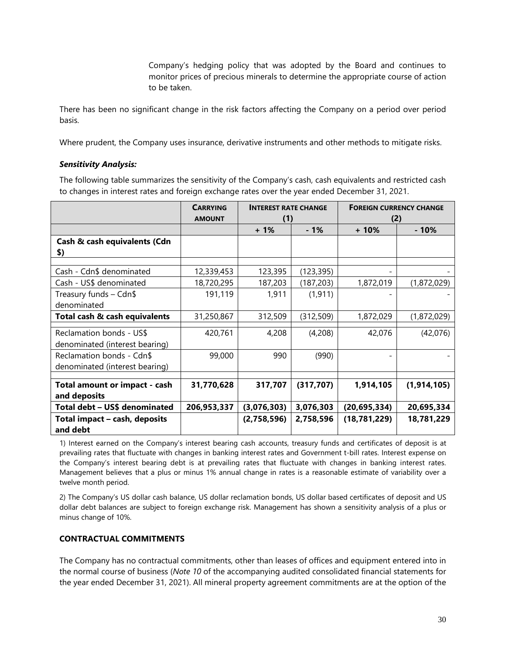Company's hedging policy that was adopted by the Board and continues to monitor prices of precious minerals to determine the appropriate course of action to be taken.

There has been no significant change in the risk factors affecting the Company on a period over period basis.

Where prudent, the Company uses insurance, derivative instruments and other methods to mitigate risks.

# *Sensitivity Analysis:*

The following table summarizes the sensitivity of the Company's cash, cash equivalents and restricted cash to changes in interest rates and foreign exchange rates over the year ended December 31, 2021.

|                                                             | <b>CARRYING</b><br><b>AMOUNT</b> | <b>INTEREST RATE CHANGE</b><br>(1) |            | (2)            | <b>FOREIGN CURRENCY CHANGE</b> |  |
|-------------------------------------------------------------|----------------------------------|------------------------------------|------------|----------------|--------------------------------|--|
|                                                             |                                  | $+1%$                              | $-1%$      | $+10%$         | $-10%$                         |  |
| Cash & cash equivalents (Cdn<br>\$)                         |                                  |                                    |            |                |                                |  |
| Cash - Cdn\$ denominated                                    | 12,339,453                       | 123,395                            | (123, 395) |                |                                |  |
| Cash - US\$ denominated                                     | 18,720,295                       | 187,203                            | (187, 203) | 1,872,019      | (1,872,029)                    |  |
| Treasury funds - Cdn\$<br>denominated                       | 191,119                          | 1,911                              | (1, 911)   |                |                                |  |
| Total cash & cash equivalents                               | 31,250,867                       | 312,509                            | (312, 509) | 1,872,029      | (1,872,029)                    |  |
| Reclamation bonds - US\$<br>denominated (interest bearing)  | 420,761                          | 4,208                              | (4,208)    | 42,076         | (42,076)                       |  |
| Reclamation bonds - Cdn\$<br>denominated (interest bearing) | 99,000                           | 990                                | (990)      |                |                                |  |
| Total amount or impact - cash<br>and deposits               | 31,770,628                       | 317,707                            | (317, 707) | 1,914,105      | (1, 914, 105)                  |  |
| Total debt - US\$ denominated                               | 206,953,337                      | (3,076,303)                        | 3,076,303  | (20, 695, 334) | 20,695,334                     |  |
| Total impact - cash, deposits<br>and debt                   |                                  | (2,758,596)                        | 2,758,596  | (18, 781, 229) | 18,781,229                     |  |

1) Interest earned on the Company's interest bearing cash accounts, treasury funds and certificates of deposit is at prevailing rates that fluctuate with changes in banking interest rates and Government t-bill rates. Interest expense on the Company's interest bearing debt is at prevailing rates that fluctuate with changes in banking interest rates. Management believes that a plus or minus 1% annual change in rates is a reasonable estimate of variability over a twelve month period.

2) The Company's US dollar cash balance, US dollar reclamation bonds, US dollar based certificates of deposit and US dollar debt balances are subject to foreign exchange risk. Management has shown a sensitivity analysis of a plus or minus change of 10%.

# <span id="page-30-0"></span>**CONTRACTUAL COMMITMENTS**

The Company has no contractual commitments, other than leases of offices and equipment entered into in the normal course of business (*Note 10* of the accompanying audited consolidated financial statements for the year ended December 31, 2021). All mineral property agreement commitments are at the option of the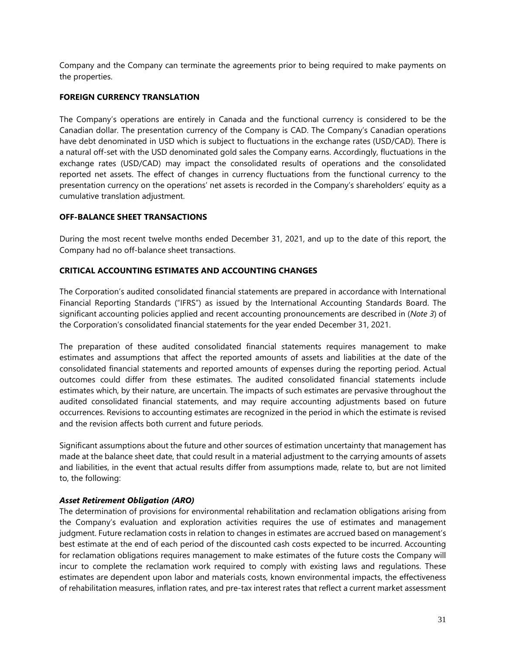Company and the Company can terminate the agreements prior to being required to make payments on the properties.

# <span id="page-31-0"></span>**FOREIGN CURRENCY TRANSLATION**

The Company's operations are entirely in Canada and the functional currency is considered to be the Canadian dollar. The presentation currency of the Company is CAD. The Company's Canadian operations have debt denominated in USD which is subject to fluctuations in the exchange rates (USD/CAD). There is a natural off-set with the USD denominated gold sales the Company earns. Accordingly, fluctuations in the exchange rates (USD/CAD) may impact the consolidated results of operations and the consolidated reported net assets. The effect of changes in currency fluctuations from the functional currency to the presentation currency on the operations' net assets is recorded in the Company's shareholders' equity as a cumulative translation adjustment.

# <span id="page-31-1"></span>**OFF-BALANCE SHEET TRANSACTIONS**

During the most recent twelve months ended December 31, 2021, and up to the date of this report, the Company had no off-balance sheet transactions.

# <span id="page-31-2"></span>**CRITICAL ACCOUNTING ESTIMATES AND ACCOUNTING CHANGES**

The Corporation's audited consolidated financial statements are prepared in accordance with International Financial Reporting Standards ("IFRS") as issued by the International Accounting Standards Board. The significant accounting policies applied and recent accounting pronouncements are described in (*Note 3*) of the Corporation's consolidated financial statements for the year ended December 31, 2021.

The preparation of these audited consolidated financial statements requires management to make estimates and assumptions that affect the reported amounts of assets and liabilities at the date of the consolidated financial statements and reported amounts of expenses during the reporting period. Actual outcomes could differ from these estimates. The audited consolidated financial statements include estimates which, by their nature, are uncertain. The impacts of such estimates are pervasive throughout the audited consolidated financial statements, and may require accounting adjustments based on future occurrences. Revisions to accounting estimates are recognized in the period in which the estimate is revised and the revision affects both current and future periods.

Significant assumptions about the future and other sources of estimation uncertainty that management has made at the balance sheet date, that could result in a material adjustment to the carrying amounts of assets and liabilities, in the event that actual results differ from assumptions made, relate to, but are not limited to, the following:

# *Asset Retirement Obligation (ARO)*

The determination of provisions for environmental rehabilitation and reclamation obligations arising from the Company's evaluation and exploration activities requires the use of estimates and management judgment. Future reclamation costs in relation to changes in estimates are accrued based on management's best estimate at the end of each period of the discounted cash costs expected to be incurred. Accounting for reclamation obligations requires management to make estimates of the future costs the Company will incur to complete the reclamation work required to comply with existing laws and regulations. These estimates are dependent upon labor and materials costs, known environmental impacts, the effectiveness of rehabilitation measures, inflation rates, and pre-tax interest rates that reflect a current market assessment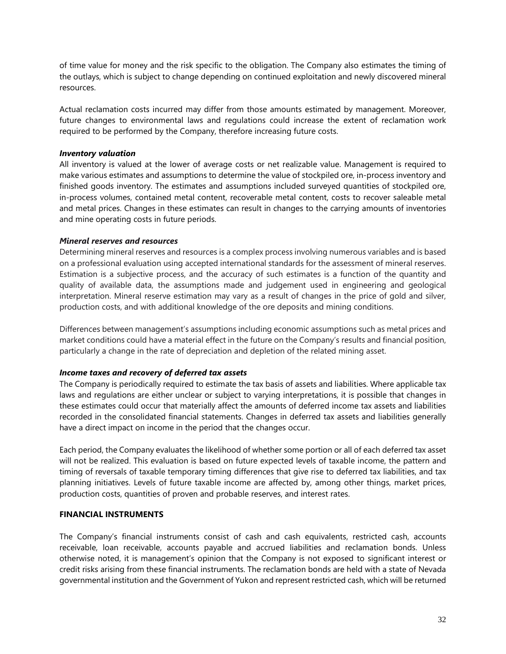of time value for money and the risk specific to the obligation. The Company also estimates the timing of the outlays, which is subject to change depending on continued exploitation and newly discovered mineral resources.

Actual reclamation costs incurred may differ from those amounts estimated by management. Moreover, future changes to environmental laws and regulations could increase the extent of reclamation work required to be performed by the Company, therefore increasing future costs.

# *Inventory valuation*

All inventory is valued at the lower of average costs or net realizable value. Management is required to make various estimates and assumptions to determine the value of stockpiled ore, in-process inventory and finished goods inventory. The estimates and assumptions included surveyed quantities of stockpiled ore, in-process volumes, contained metal content, recoverable metal content, costs to recover saleable metal and metal prices. Changes in these estimates can result in changes to the carrying amounts of inventories and mine operating costs in future periods.

# *Mineral reserves and resources*

Determining mineral reserves and resources is a complex process involving numerous variables and is based on a professional evaluation using accepted international standards for the assessment of mineral reserves. Estimation is a subjective process, and the accuracy of such estimates is a function of the quantity and quality of available data, the assumptions made and judgement used in engineering and geological interpretation. Mineral reserve estimation may vary as a result of changes in the price of gold and silver, production costs, and with additional knowledge of the ore deposits and mining conditions.

Differences between management's assumptions including economic assumptions such as metal prices and market conditions could have a material effect in the future on the Company's results and financial position, particularly a change in the rate of depreciation and depletion of the related mining asset.

# *Income taxes and recovery of deferred tax assets*

The Company is periodically required to estimate the tax basis of assets and liabilities. Where applicable tax laws and regulations are either unclear or subject to varying interpretations, it is possible that changes in these estimates could occur that materially affect the amounts of deferred income tax assets and liabilities recorded in the consolidated financial statements. Changes in deferred tax assets and liabilities generally have a direct impact on income in the period that the changes occur.

Each period, the Company evaluates the likelihood of whether some portion or all of each deferred tax asset will not be realized. This evaluation is based on future expected levels of taxable income, the pattern and timing of reversals of taxable temporary timing differences that give rise to deferred tax liabilities, and tax planning initiatives. Levels of future taxable income are affected by, among other things, market prices, production costs, quantities of proven and probable reserves, and interest rates.

# <span id="page-32-0"></span>**FINANCIAL INSTRUMENTS**

The Company's financial instruments consist of cash and cash equivalents, restricted cash, accounts receivable, loan receivable, accounts payable and accrued liabilities and reclamation bonds. Unless otherwise noted, it is management's opinion that the Company is not exposed to significant interest or credit risks arising from these financial instruments. The reclamation bonds are held with a state of Nevada governmental institution and the Government of Yukon and represent restricted cash, which will be returned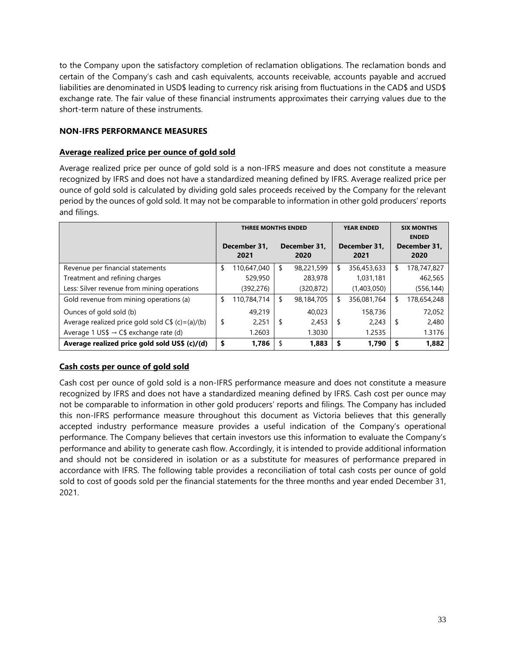to the Company upon the satisfactory completion of reclamation obligations. The reclamation bonds and certain of the Company's cash and cash equivalents, accounts receivable, accounts payable and accrued liabilities are denominated in USD\$ leading to currency risk arising from fluctuations in the CAD\$ and USD\$ exchange rate. The fair value of these financial instruments approximates their carrying values due to the short-term nature of these instruments.

# <span id="page-33-0"></span>**NON-IFRS PERFORMANCE MEASURES**

# **Average realized price per ounce of gold sold**

Average realized price per ounce of gold sold is a non-IFRS measure and does not constitute a measure recognized by IFRS and does not have a standardized meaning defined by IFRS. Average realized price per ounce of gold sold is calculated by dividing gold sales proceeds received by the Company for the relevant period by the ounces of gold sold. It may not be comparable to information in other gold producers' reports and filings.

|                                                     | <b>THREE MONTHS ENDED</b> |             |     |                      |    | <b>YEAR ENDED</b>    | <b>SIX MONTHS</b><br><b>ENDED</b> |             |  |
|-----------------------------------------------------|---------------------------|-------------|-----|----------------------|----|----------------------|-----------------------------------|-------------|--|
|                                                     | December 31.<br>2021      |             |     | December 31.<br>2020 |    | December 31.<br>2021 | December 31,<br>2020              |             |  |
| Revenue per financial statements                    | \$                        | 110,647,040 | \$  | 98,221,599           | \$ | 356,453,633          | S                                 | 178,747,827 |  |
| Treatment and refining charges                      |                           | 529,950     |     | 283,978              |    | 1,031,181            |                                   | 462,565     |  |
| Less: Silver revenue from mining operations         |                           | (392,276)   |     | (320, 872)           |    | (1,403,050)          |                                   | (556, 144)  |  |
| Gold revenue from mining operations (a)             | \$                        | 110,784,714 | S   | 98,184,705           | \$ | 356,081,764          | \$                                | 178,654,248 |  |
| Ounces of gold sold (b)                             |                           | 49,219      |     | 40,023               |    | 158,736              |                                   | 72,052      |  |
| Average realized price gold sold $C$ \$ (c)=(a)/(b) | \$                        | 2,251       | -\$ | 2,453                | \$ | 2,243                | \$                                | 2,480       |  |
| Average 1 US\$ $\rightarrow$ C\$ exchange rate (d)  |                           | 1.2603      |     | 1.3030               |    | 1.2535               |                                   | 1.3176      |  |
| Average realized price gold sold US\$ (c)/(d)       | \$                        | 1,786       |     | 1,883                | S  | 1,790                | S                                 | 1,882       |  |

# **Cash costs per ounce of gold sold**

Cash cost per ounce of gold sold is a non-IFRS performance measure and does not constitute a measure recognized by IFRS and does not have a standardized meaning defined by IFRS. Cash cost per ounce may not be comparable to information in other gold producers' reports and filings. The Company has included this non-IFRS performance measure throughout this document as Victoria believes that this generally accepted industry performance measure provides a useful indication of the Company's operational performance. The Company believes that certain investors use this information to evaluate the Company's performance and ability to generate cash flow. Accordingly, it is intended to provide additional information and should not be considered in isolation or as a substitute for measures of performance prepared in accordance with IFRS. The following table provides a reconciliation of total cash costs per ounce of gold sold to cost of goods sold per the financial statements for the three months and year ended December 31, 2021.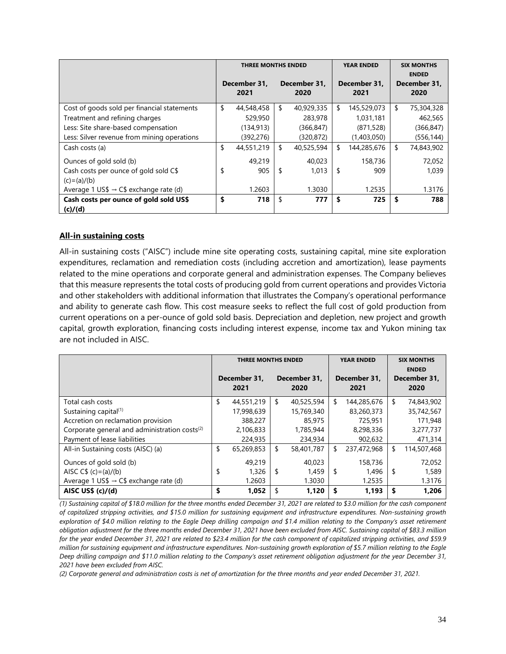|                                                    | <b>THREE MONTHS ENDED</b> |            |                      |            |                      | <b>YEAR ENDED</b> | <b>SIX MONTHS</b><br><b>ENDED</b> |                      |
|----------------------------------------------------|---------------------------|------------|----------------------|------------|----------------------|-------------------|-----------------------------------|----------------------|
|                                                    | December 31.<br>2021      |            | December 31.<br>2020 |            | December 31.<br>2021 |                   |                                   | December 31,<br>2020 |
| Cost of goods sold per financial statements        | \$                        | 44,548,458 | \$                   | 40,929,335 | \$                   | 145,529,073       | \$                                | 75,304,328           |
| Treatment and refining charges                     |                           | 529,950    |                      | 283,978    |                      | 1,031,181         |                                   | 462,565              |
| Less: Site share-based compensation                |                           | (134, 913) |                      | (366, 847) |                      | (871, 528)        |                                   | (366, 847)           |
| Less: Silver revenue from mining operations        |                           | (392, 276) |                      | (320, 872) |                      | (1,403,050)       |                                   | (556, 144)           |
| Cash costs (a)                                     | \$                        | 44,551,219 | \$                   | 40,525,594 | \$                   | 144,285,676       | \$                                | 74,843,902           |
| Ounces of gold sold (b)                            |                           | 49,219     |                      | 40,023     |                      | 158,736           |                                   | 72,052               |
| Cash costs per ounce of gold sold C\$              | \$                        | 905        | \$                   | 1,013      | \$                   | 909               |                                   | 1,039                |
| $(c)=(a)/(b)$                                      |                           |            |                      |            |                      |                   |                                   |                      |
| Average 1 US\$ $\rightarrow$ C\$ exchange rate (d) |                           | 1.2603     |                      | 1.3030     |                      | 1.2535            |                                   | 1.3176               |
| Cash costs per ounce of gold sold US\$             | \$                        | 718        | \$                   | 777        | \$                   | 725               | -\$                               | 788                  |
| (c)/(d)                                            |                           |            |                      |            |                      |                   |                                   |                      |

# **All-in sustaining costs**

All-in sustaining costs ("AISC") include mine site operating costs, sustaining capital, mine site exploration expenditures, reclamation and remediation costs (including accretion and amortization), lease payments related to the mine operations and corporate general and administration expenses. The Company believes that this measure represents the total costs of producing gold from current operations and provides Victoria and other stakeholders with additional information that illustrates the Company's operational performance and ability to generate cash flow. This cost measure seeks to reflect the full cost of gold production from current operations on a per-ounce of gold sold basis. Depreciation and depletion, new project and growth capital, growth exploration, financing costs including interest expense, income tax and Yukon mining tax are not included in AISC.

|                                                           | <b>THREE MONTHS ENDED</b> |            |                      |            |                      | <b>YEAR ENDED</b> | <b>SIX MONTHS</b><br><b>ENDED</b> |                      |  |
|-----------------------------------------------------------|---------------------------|------------|----------------------|------------|----------------------|-------------------|-----------------------------------|----------------------|--|
|                                                           | December 31.<br>2021      |            | December 31.<br>2020 |            | December 31.<br>2021 |                   |                                   | December 31.<br>2020 |  |
| Total cash costs                                          | \$                        | 44.551.219 | \$                   | 40,525,594 | \$                   | 144,285,676       | \$                                | 74,843,902           |  |
| Sustaining capital <sup>(1)</sup>                         |                           | 17,998,639 |                      | 15,769,340 |                      | 83,260,373        |                                   | 35,742,567           |  |
| Accretion on reclamation provision                        |                           | 388,227    |                      | 85,975     |                      | 725,951           |                                   | 171,948              |  |
| Corporate general and administration costs <sup>(2)</sup> |                           | 2,106,833  |                      | 1,785,944  |                      | 8,298,336         |                                   | 3,277,737            |  |
| Payment of lease liabilities                              |                           | 224,935    |                      | 234,934    |                      | 902,632           |                                   | 471,314              |  |
| All-in Sustaining costs (AISC) (a)                        | \$                        | 65,269,853 | \$                   | 58,401,787 | \$                   | 237,472,968       | \$                                | 114,507,468          |  |
| Ounces of gold sold (b)                                   |                           | 49,219     |                      | 40.023     |                      | 158,736           |                                   | 72,052               |  |
| AISC $C$ \$ (c)=(a)/(b)                                   | \$                        | 1,326      | \$                   | 1,459      | \$                   | 1,496             | -\$                               | 1,589                |  |
| Average 1 US\$ $\rightarrow$ C\$ exchange rate (d)        |                           | 1.2603     |                      | 1.3030     |                      | 1.2535            |                                   | 1.3176               |  |
| AISC US\$ (c)/(d)                                         | \$                        | 1,052      | \$                   | 1,120      | \$                   | 1,193             | \$                                | 1,206                |  |

*(1) Sustaining capital of \$18.0 million for the three months ended December 31, 2021 are related to \$3.0 million for the cash component of capitalized stripping activities, and \$15.0 million for sustaining equipment and infrastructure expenditures. Non-sustaining growth exploration of \$4.0 million relating to the Eagle Deep drilling campaign and \$1.4 million relating to the Company's asset retirement obligation adjustment for the three months ended December 31, 2021 have been excluded from AISC. Sustaining capital of \$83.3 million for the year ended December 31, 2021 are related to \$23.4 million for the cash component of capitalized stripping activities, and \$59.9 million for sustaining equipment and infrastructure expenditures. Non-sustaining growth exploration of \$5.7 million relating to the Eagle Deep drilling campaign and \$11.0 million relating to the Company's asset retirement obligation adjustment for the year December 31, 2021 have been excluded from AISC.*

*(2) Corporate general and administration costs is net of amortization for the three months and year ended December 31, 2021.*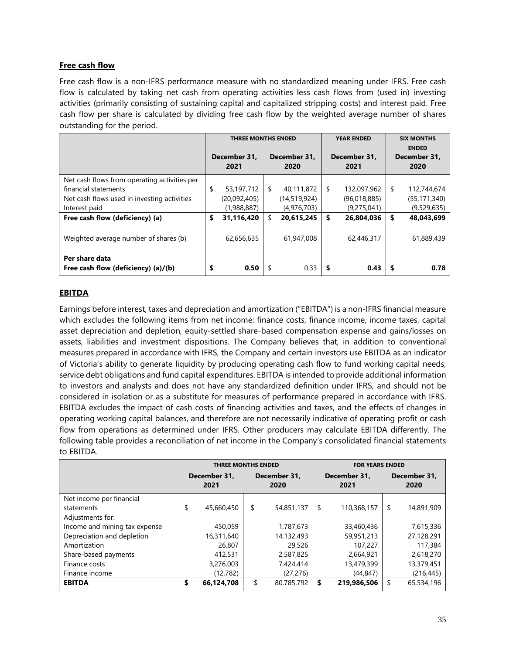# **Free cash flow**

Free cash flow is a non-IFRS performance measure with no standardized meaning under IFRS. Free cash flow is calculated by taking net cash from operating activities less cash flows from (used in) investing activities (primarily consisting of sustaining capital and capitalized stripping costs) and interest paid. Free cash flow per share is calculated by dividing free cash flow by the weighted average number of shares outstanding for the period.

|                                                       | <b>THREE MONTHS ENDED</b> |    |                      | <b>YEAR ENDED</b>    | <b>SIX MONTHS</b><br><b>ENDED</b> |                      |  |
|-------------------------------------------------------|---------------------------|----|----------------------|----------------------|-----------------------------------|----------------------|--|
|                                                       | December 31.<br>2021      |    | December 31.<br>2020 | December 31.<br>2021 |                                   | December 31,<br>2020 |  |
| Net cash flows from operating activities per          |                           |    |                      |                      |                                   |                      |  |
| financial statements                                  | \$<br>53,197,712          | \$ | 40,111,872           | \$<br>132,097,962    | \$                                | 112,744,674          |  |
| Net cash flows used in investing activities           | (20,092,405)              |    | (14,519,924)         | (96,018,885)         |                                   | (55, 171, 340)       |  |
| Interest paid                                         | (1,988,887)               |    | (4,976,703)          | (9,275,041)          |                                   | (9,529,635)          |  |
| Free cash flow (deficiency) (a)                       | \$<br>31,116,420          | \$ | 20,615,245           | \$<br>26,804,036     | \$                                | 48,043,699           |  |
| Weighted average number of shares (b)                 | 62,656,635                |    | 61,947,008           | 62,446,317           |                                   | 61,889,439           |  |
| Per share data<br>Free cash flow (deficiency) (a)/(b) | \$<br>0.50                | S  | 0.33                 | \$<br>0.43           |                                   | 0.78                 |  |

# **EBITDA**

Earnings before interest, taxes and depreciation and amortization ("EBITDA") is a non-IFRS financial measure which excludes the following items from net income: finance costs, finance income, income taxes, capital asset depreciation and depletion, equity-settled share-based compensation expense and gains/losses on assets, liabilities and investment dispositions. The Company believes that, in addition to conventional measures prepared in accordance with IFRS, the Company and certain investors use EBITDA as an indicator of Victoria's ability to generate liquidity by producing operating cash flow to fund working capital needs, service debt obligations and fund capital expenditures. EBITDA is intended to provide additional information to investors and analysts and does not have any standardized definition under IFRS, and should not be considered in isolation or as a substitute for measures of performance prepared in accordance with IFRS. EBITDA excludes the impact of cash costs of financing activities and taxes, and the effects of changes in operating working capital balances, and therefore are not necessarily indicative of operating profit or cash flow from operations as determined under IFRS. Other producers may calculate EBITDA differently. The following table provides a reconciliation of net income in the Company's consolidated financial statements to EBITDA.

|                               | <b>THREE MONTHS ENDED</b> |                      | <b>FOR YEARS ENDED</b> |                      |    |                      |  |
|-------------------------------|---------------------------|----------------------|------------------------|----------------------|----|----------------------|--|
|                               | December 31.<br>2021      | December 31,<br>2020 |                        | December 31.<br>2021 |    | December 31,<br>2020 |  |
| Net income per financial      |                           |                      |                        |                      |    |                      |  |
| statements                    | \$<br>45,660,450          | \$<br>54,851,137     | \$                     | 110,368,157          | \$ | 14,891,909           |  |
| Adjustments for:              |                           |                      |                        |                      |    |                      |  |
| Income and mining tax expense | 450,059                   | 1,787,673            |                        | 33,460,436           |    | 7,615,336            |  |
| Depreciation and depletion    | 16,311,640                | 14,132,493           |                        | 59,951,213           |    | 27,128,291           |  |
| Amortization                  | 26,807                    | 29,526               |                        | 107,227              |    | 117,384              |  |
| Share-based payments          | 412,531                   | 2,587,825            |                        | 2,664,921            |    | 2,618,270            |  |
| Finance costs                 | 3,276,003                 | 7,424,414            |                        | 13,479,399           |    | 13,379,451           |  |
| Finance income                | (12, 782)                 | (27, 276)            |                        | (44, 847)            |    | (216, 445)           |  |
| <b>EBITDA</b>                 | \$<br>66,124,708          | \$<br>80,785,792     | S                      | 219,986,506          | \$ | 65,534,196           |  |